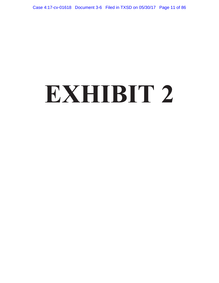# **EXHIBIT 2**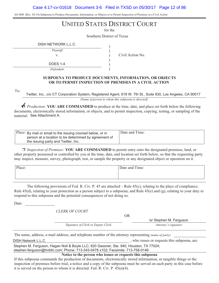Case 4:17-cv-01618 Document 3-6 Filed in TXSD on 05/30/17 Page 12 of 86

AO 88B (Rev. 02/14) Subpoena to Produce Documents, Information, or Objects or to Permit Inspection of Premises in a Civil Action

# UNITED STATES DISTRICT COURT

for the

) ) ) ) ) )

Southern District of Texas

DISH NETWORK L.L.C.

| Plaintiff       |  |
|-----------------|--|
| v.              |  |
|                 |  |
| <b>DOES 1-4</b> |  |

Civil Action No.

### *Defendant*

# **SUBPOENA TO PRODUCE DOCUMENTS, INFORMATION, OR OBJECTS OR TO PERMIT INSPECTION OF PREMISES IN A CIVIL ACTION**

To:

Twitter, Inc., c/o CT Corporation System, Registered Agent, 818 W. 7th St., Suite 930, Los Angeles, CA 90017

*(Name of person to whom this subpoena is directed)*

★ *Production:* YOU ARE COMMANDED to produce at the time, date, and place set forth below the following documents, electronically stored information, or objects, and to permit inspection, copying, testing, or sampling of the material: See Attachment A.

| Place: By mail or email to the issuing counsel below, or in<br>person at a location to be determined by agreement of<br>the issuing party and Twitter, Inc. | Date and Time: |
|-------------------------------------------------------------------------------------------------------------------------------------------------------------|----------------|
|-------------------------------------------------------------------------------------------------------------------------------------------------------------|----------------|

- *Inspection of Premises:* **YOU ARE COMMANDED** to permit entry onto the designated premises, land, or other property possessed or controlled by you at the time, date, and location set forth below, so that the requesting party may inspect, measure, survey, photograph, test, or sample the property or any designated object or operation on it.

| Place: | Date and Time: |
|--------|----------------|
|        |                |
|        |                |

The following provisions of Fed. R. Civ. P. 45 are attached – Rule 45(c), relating to the place of compliance; Rule 45(d), relating to your protection as a person subject to a subpoena; and Rule 45(e) and (g), relating to your duty to respond to this subpoena and the potential consequences of not doing so.

Date:

DISH Network L.L.C.

*CLERK OF COURT*

OR

Signature of Clerk or Deputy Clerk Attorney's signature

/s/ Stephen M. Ferguson

The name, address, e-mail address, and telephone number of the attorney representing *(name of party)*

, who issues or requests this subpoena, are:

Stephen M. Ferguson, Hagan Noll & Boyle LLC; 820 Gessner, Ste. 940, Houston, TX 77024; stephen.ferguson@hnbllc.com; Phone: 713-343-0478 x102; Facsimile: 713-758-0146

**Notice to the person who issues or requests this subpoena**

If this subpoena commands the production of documents, electronically stored information, or tangible things or the inspection of premises before trial, a notice and a copy of the subpoena must be served on each party in this case before it is served on the person to whom it is directed. Fed. R. Civ. P. 45(a)(4).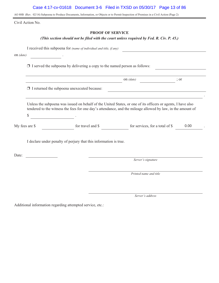# Case 4:17-cv-01618 Document 3-6 Filed in TXSD on 05/30/17 Page 13 of 86

AO 88B (Rev. 02/14) Subpoena to Produce Documents, Information, or Objects or to Permit Inspection of Premises in a Civil Action (Page 2)

Civil Action No.

## **PROOF OF SERVICE**

### *(This section should not be filed with the court unless required by Fed. R. Civ. P. 45.)*

I received this subpoena for *(name of individual and title, if any)*

on *(date)* .

□ I served the subpoena by delivering a copy to the named person as follows:

|                                                    | on <i>(date)</i> | -or |  |
|----------------------------------------------------|------------------|-----|--|
| $\Box$ I returned the subpoena unexecuted because: |                  |     |  |

Unless the subpoena was issued on behalf of the United States, or one of its officers or agents, I have also tendered to the witness the fees for one day's attendance, and the mileage allowed by law, in the amount of

 $\frac{\text{S}}{\text{S}}$  .

| My fees are \$ | for travel and S | for services, for a total of \$ | 0.00 |  |
|----------------|------------------|---------------------------------|------|--|
|                |                  |                                 |      |  |

I declare under penalty of perjury that this information is true.

Date:

*Server's signature*

.

*Printed name and title*

*Server's address*

Additional information regarding attempted service, etc.: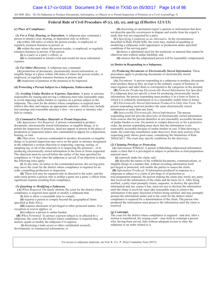AO 88B (Rev. 02/14) Subpoena to Produce Documents, Information, or Objects or to Permit Inspection of Premises in a Civil Action(Page 3)

### **Federal Rule of Civil Procedure 45 (c), (d), (e), and (g) (Effective 12/1/13)**

**(c) Place of Compliance.**

 **(1)** *For a Trial, Hearing, or Deposition.* A subpoena may command a person to attend a trial, hearing, or deposition only as follows:

 **(A)** within 100 miles of where the person resides, is employed, or regularly transacts business in person; or

 **(B)** within the state where the person resides, is employed, or regularly transacts business in person, if the person

 **(i)** is a party or a party's officer; or

 **(ii)** is commanded to attend a trial and would not incur substantial expense.

 **(2)** *For Other Discovery.* A subpoena may command:

 **(A)** production of documents, electronically stored information, or tangible things at a place within 100 miles of where the person resides, is employed, or regularly transacts business in person; and

 **(B)** inspection of premises at the premises to be inspected.

### **(d) Protecting a Person Subject to a Subpoena; Enforcement.**

 **(1)** *Avoiding Undue Burden or Expense; Sanctions.* A party or attorney responsible for issuing and serving a subpoena must take reasonable steps to avoid imposing undue burden or expense on a person subject to the subpoena. The court for the district where compliance is required must enforce this duty and impose an appropriate sanction—which may include lost earnings and reasonable attorney's fees—on a party or attorney who fails to comply.

### **(2)** *Command to Produce Materials or Permit Inspection.*

**(A)** *Appearance Not Required.* A person commanded to produce documents, electronically stored information, or tangible things, or to permit the inspection of premises, need not appear in person at the place of production or inspection unless also commanded to appear for a deposition, hearing, or trial.

**(B)** *Objections.* A person commanded to produce documents or tangible things or to permit inspection may serve on the party or attorney designated in the subpoena a written objection to inspecting, copying, testing, or sampling any or all of the materials or to inspecting the premises—or to producing electronically stored information in the form or forms requested. The objection must be served before the earlier of the time specified for compliance or 14 days after the subpoena is served. If an objection is made, the following rules apply:

**(i)** At any time, on notice to the commanded person, the serving party may move the court for the district where compliance is required for an order compelling production or inspection.

 **(ii)** These acts may be required only as directed in the order, and the order must protect a person who is neither a party nor a party's officer from significant expense resulting from compliance.

### **(3)** *Quashing or Modifying a Subpoena.*

**(A)** *When Required.* On timely motion, the court for the district where compliance is required must quash or modify a subpoena that:

 **(i)** fails to allow a reasonable time to comply;

**(ii)** requires a person to comply beyond the geographical limits specified in Rule  $45(c)$ ;

**(iii)** requires disclosure of privileged or other protected matter, if no exception or waiver applies; or

**(iv)** subjects a person to undue burden.

**(B)** *When Permitted.* To protect a person subject to or affected by a subpoena, the court for the district where compliance is required may, on motion, quash or modify the subpoena if it requires:

**(i)** disclosing a trade secret or other confidential research, development, or commercial information; or

**(ii)** disclosing an unretained expert's opinion or information that does not describe specific occurrences in dispute and results from the expert's study that was not requested by a party.

**(C)** *Specifying Conditions as an Alternative.* In the circumstances described in Rule 45(d)(3)(B), the court may, instead of quashing or modifying a subpoena, order appearance or production under specified conditions if the serving party:

**(i)** shows a substantial need for the testimony or material that cannot be otherwise met without undue hardship; and

**(ii)** ensures that the subpoenaed person will be reasonably compensated.

### **(e) Duties in Responding to a Subpoena.**

 **(1)** *Producing Documents or Electronically Stored Information.* These procedures apply to producing documents or electronically stored information:

**(A)** *Documents.* A person responding to a subpoena to produce documents must produce them as they are kept in the ordinary course of business or must organize and label them to correspond to the categories in the demand.

**(B)** *Form for Producing Electronically Stored Information Not Specified.* If a subpoena does not specify a form for producing electronically stored information, the person responding must produce it in a form or forms in which it is ordinarily maintained or in a reasonably usable form or forms.

**(C)** *Electronically Stored Information Produced in Only One Form.* The person responding need not produce the same electronically stored information in more than one form.

**(D)** *Inaccessible Electronically Stored Information.* The person responding need not provide discovery of electronically stored information from sources that the person identifies as not reasonably accessible because of undue burden or cost. On motion to compel discovery or for a protective order, the person responding must show that the information is not reasonably accessible because of undue burden or cost. If that showing is made, the court may nonetheless order discovery from such sources if the requesting party shows good cause, considering the limitations of Rule  $26(b)(2)(C)$ . The court may specify conditions for the discovery.

### **(2)** *Claiming Privilege or Protection.*

**(A)** *Information Withheld.* A person withholding subpoenaed information under a claim that it is privileged or subject to protection as trial-preparation material must:

**(i)** expressly make the claim; and

**(ii)** describe the nature of the withheld documents, communications, or tangible things in a manner that, without revealing information itself privileged or protected, will enable the parties to assess the claim.

**(B)** *Information Produced.* If information produced in response to a subpoena is subject to a claim of privilege or of protection as trial-preparation material, the person making the claim may notify any party that received the information of the claim and the basis for it. After being notified, a party must promptly return, sequester, or destroy the specified information and any copies it has; must not use or disclose the information until the claim is resolved; must take reasonable steps to retrieve the information if the party disclosed it before being notified; and may promptly present the information under seal to the court for the district where compliance is required for a determination of the claim. The person who produced the information must preserve the information until the claim is resolved.

### **(g) Contempt.**

The court for the district where compliance is required—and also, after a motion is transferred, the issuing court—may hold in contempt a person who, having been served, fails without adequate excuse to obey the subpoena or an order related to it.

For access to subpoena materials, see Fed. R. Civ. P. 45(a) Committee Note (2013).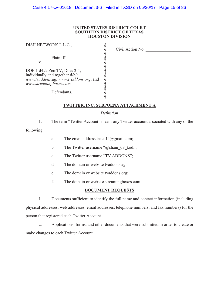# **UNITED STATES DISTRICT COURT SOUTHERN DISTRICT OF TEXAS HOUSTON DIVISION**

DISH NETWORK L.L.C.,<br>
§<br>
Plaintiff,<br>
v.<br>
DOE 1 d/b/a ZemTV, Does 2-4,<br>
individually and together d/b/a<br>
www.tvaddons.ag, www.tvaddons.org, and<br>
§<br>
www.streamingboxes.com,<br>
§<br>
Defendants.<br>
§<br>
§<br>
S § Plaintiff, v.  $\S$  § DOE 1 d/b/a ZemTV, Does 2-4, individually and together  $d/b/a$ *www.tvaddons.ag*, *www.tvaddons.org*, and § *www.streamingboxes.com*, §

 § Defendants.

§

§ Civil Action No. \_\_\_\_\_\_\_\_\_\_\_\_\_\_\_\_\_\_\_\_\_

# **TWITTER, INC. SUBPOENA ATTACHMENT A**

# *Definition*

1. The term "Twitter Account" means any Twitter account associated with any of the

following:

- a. The email address taacc $14\omega$ gmail.com;
- b. The Twitter username "@shani\_08\_kodi";
- c. The Twitter username "TV ADDONS";
- d. The domain or website tvaddons.ag;
- e. The domain or website tvaddons.org;
- f. The domain or website streamingboxes.com.

# **DOCUMENT REQUESTS**

 1. Documents sufficient to identify the full name and contact information (including physical addresses, web addresses, email addresses, telephone numbers, and fax numbers) for the person that registered each Twitter Account.

 2. Applications, forms, and other documents that were submitted in order to create or make changes to each Twitter Account.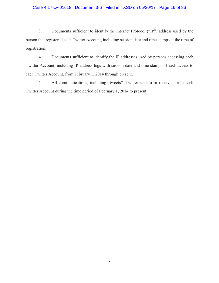# Case 4:17-cv-01618 Document 3-6 Filed in TXSD on 05/30/17 Page 16 of 86

 3. Documents sufficient to identify the Internet Protocol ("IP") address used by the person that registered each Twitter Account, including session date and time stamps at the time of registration.

 4. Documents sufficient to identify the IP addresses used by persons accessing each Twitter Account, including IP address logs with session date and time stamps of each access to each Twitter Account, from February 1, 2014 through present.

 5. All communications, including "tweets", Twitter sent to or received from each Twitter Account during the time period of February 1, 2014 to present.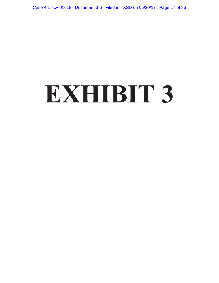# **EXHIBIT 3**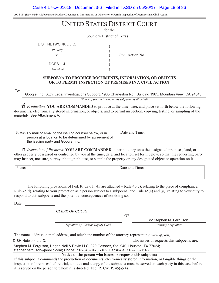Case 4:17-cv-01618 Document 3-6 Filed in TXSD on 05/30/17 Page 18 of 86

AO 88B (Rev. 02/14) Subpoena to Produce Documents, Information, or Objects or to Permit Inspection of Premises in a Civil Action

# UNITED STATES DISTRICT COURT

for the

) ) ) ) ) )

Southern District of Texas

DISH NETWORK L.L.C.

| Plaintiff       |  |
|-----------------|--|
| V.              |  |
| <b>DOES 1-4</b> |  |
|                 |  |

Civil Action No.

### *Defendant*

## **SUBPOENA TO PRODUCE DOCUMENTS, INFORMATION, OR OBJECTS OR TO PERMIT INSPECTION OF PREMISES IN A CIVIL ACTION**

To:

Google, Inc., Attn: Legal Investigations Support, 1965 Charleston Rd., Building 1965, Mountain View, CA 94043

*(Name of person to whom this subpoena is directed)*

★ *Production:* YOU ARE COMMANDED to produce at the time, date, and place set forth below the following documents, electronically stored information, or objects, and to permit inspection, copying, testing, or sampling of the material: See Attachment A.

- *Inspection of Premises:* **YOU ARE COMMANDED** to permit entry onto the designated premises, land, or other property possessed or controlled by you at the time, date, and location set forth below, so that the requesting party may inspect, measure, survey, photograph, test, or sample the property or any designated object or operation on it.

| Place: | Date and Time: |
|--------|----------------|
|        |                |
|        |                |

The following provisions of Fed. R. Civ. P. 45 are attached – Rule 45(c), relating to the place of compliance; Rule 45(d), relating to your protection as a person subject to a subpoena; and Rule 45(e) and (g), relating to your duty to respond to this subpoena and the potential consequences of not doing so.

Date:

DISH Network L.L.C.

*CLERK OF COURT*

OR

Signature of Clerk or Deputy Clerk Attorney's signature

/s/ Stephen M. Ferguson

The name, address, e-mail address, and telephone number of the attorney representing *(name of party)*

, who issues or requests this subpoena, are:

Stephen M. Ferguson, Hagan Noll & Boyle LLC; 820 Gessner, Ste. 940, Houston, TX 77024; stephen.ferguson@hnbllc.com; Phone: 713-343-0478 x102; Facsimile: 713-758-0146

**Notice to the person who issues or requests this subpoena**

If this subpoena commands the production of documents, electronically stored information, or tangible things or the inspection of premises before trial, a notice and a copy of the subpoena must be served on each party in this case before it is served on the person to whom it is directed. Fed. R. Civ. P. 45(a)(4).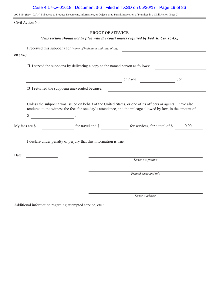# Case 4:17-cv-01618 Document 3-6 Filed in TXSD on 05/30/17 Page 19 of 86

AO 88B (Rev. 02/14) Subpoena to Produce Documents, Information, or Objects or to Permit Inspection of Premises in a Civil Action (Page 2)

Civil Action No.

# **PROOF OF SERVICE**

### *(This section should not be filed with the court unless required by Fed. R. Civ. P. 45.)*

I received this subpoena for *(name of individual and title, if any)*

on *(date)* .

□ I served the subpoena by delivering a copy to the named person as follows:

|                                                    | on <i>(date)</i> | -or |
|----------------------------------------------------|------------------|-----|
| $\Box$ I returned the subpoena unexecuted because: |                  |     |

Unless the subpoena was issued on behalf of the United States, or one of its officers or agents, I have also tendered to the witness the fees for one day's attendance, and the mileage allowed by law, in the amount of

 $\frac{\text{S}}{\text{S}}$  .

| My fees are \$ | for travel and S | for services, for a total of \$ | 0.00 |  |
|----------------|------------------|---------------------------------|------|--|
|                |                  |                                 |      |  |

I declare under penalty of perjury that this information is true.

Date:

*Server's signature*

.

*Printed name and title*

*Server's address*

Additional information regarding attempted service, etc.: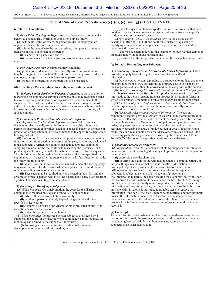AO 88B (Rev. 02/14) Subpoena to Produce Documents, Information, or Objects or to Permit Inspection of Premises in a Civil Action(Page 3)

### **Federal Rule of Civil Procedure 45 (c), (d), (e), and (g) (Effective 12/1/13)**

**(c) Place of Compliance.**

 **(1)** *For a Trial, Hearing, or Deposition.* A subpoena may command a person to attend a trial, hearing, or deposition only as follows:

 **(A)** within 100 miles of where the person resides, is employed, or regularly transacts business in person; or

 **(B)** within the state where the person resides, is employed, or regularly transacts business in person, if the person

 **(i)** is a party or a party's officer; or

 **(ii)** is commanded to attend a trial and would not incur substantial expense.

 **(2)** *For Other Discovery.* A subpoena may command:

 **(A)** production of documents, electronically stored information, or tangible things at a place within 100 miles of where the person resides, is employed, or regularly transacts business in person; and

 **(B)** inspection of premises at the premises to be inspected.

### **(d) Protecting a Person Subject to a Subpoena; Enforcement.**

 **(1)** *Avoiding Undue Burden or Expense; Sanctions.* A party or attorney responsible for issuing and serving a subpoena must take reasonable steps to avoid imposing undue burden or expense on a person subject to the subpoena. The court for the district where compliance is required must enforce this duty and impose an appropriate sanction—which may include lost earnings and reasonable attorney's fees—on a party or attorney who fails to comply.

### **(2)** *Command to Produce Materials or Permit Inspection.*

**(A)** *Appearance Not Required.* A person commanded to produce documents, electronically stored information, or tangible things, or to permit the inspection of premises, need not appear in person at the place of production or inspection unless also commanded to appear for a deposition, hearing, or trial.

**(B)** *Objections.* A person commanded to produce documents or tangible things or to permit inspection may serve on the party or attorney designated in the subpoena a written objection to inspecting, copying, testing, or sampling any or all of the materials or to inspecting the premises—or to producing electronically stored information in the form or forms requested. The objection must be served before the earlier of the time specified for compliance or 14 days after the subpoena is served. If an objection is made, the following rules apply:

**(i)** At any time, on notice to the commanded person, the serving party may move the court for the district where compliance is required for an order compelling production or inspection.

 **(ii)** These acts may be required only as directed in the order, and the order must protect a person who is neither a party nor a party's officer from significant expense resulting from compliance.

### **(3)** *Quashing or Modifying a Subpoena.*

**(A)** *When Required.* On timely motion, the court for the district where compliance is required must quash or modify a subpoena that:

 **(i)** fails to allow a reasonable time to comply;

**(ii)** requires a person to comply beyond the geographical limits specified in Rule  $45(c)$ ;

**(iii)** requires disclosure of privileged or other protected matter, if no exception or waiver applies; or

**(iv)** subjects a person to undue burden.

**(B)** *When Permitted.* To protect a person subject to or affected by a subpoena, the court for the district where compliance is required may, on motion, quash or modify the subpoena if it requires:

**(i)** disclosing a trade secret or other confidential research, development, or commercial information; or

**(ii)** disclosing an unretained expert's opinion or information that does not describe specific occurrences in dispute and results from the expert's study that was not requested by a party.

**(C)** *Specifying Conditions as an Alternative.* In the circumstances described in Rule 45(d)(3)(B), the court may, instead of quashing or modifying a subpoena, order appearance or production under specified conditions if the serving party:

**(i)** shows a substantial need for the testimony or material that cannot be otherwise met without undue hardship; and

**(ii)** ensures that the subpoenaed person will be reasonably compensated.

### **(e) Duties in Responding to a Subpoena.**

 **(1)** *Producing Documents or Electronically Stored Information.* These procedures apply to producing documents or electronically stored information:

**(A)** *Documents.* A person responding to a subpoena to produce documents must produce them as they are kept in the ordinary course of business or must organize and label them to correspond to the categories in the demand.

**(B)** *Form for Producing Electronically Stored Information Not Specified.* If a subpoena does not specify a form for producing electronically stored information, the person responding must produce it in a form or forms in which it is ordinarily maintained or in a reasonably usable form or forms.

**(C)** *Electronically Stored Information Produced in Only One Form.* The person responding need not produce the same electronically stored information in more than one form.

**(D)** *Inaccessible Electronically Stored Information.* The person responding need not provide discovery of electronically stored information from sources that the person identifies as not reasonably accessible because of undue burden or cost. On motion to compel discovery or for a protective order, the person responding must show that the information is not reasonably accessible because of undue burden or cost. If that showing is made, the court may nonetheless order discovery from such sources if the requesting party shows good cause, considering the limitations of Rule  $26(b)(2)(C)$ . The court may specify conditions for the discovery.

### **(2)** *Claiming Privilege or Protection.*

**(A)** *Information Withheld.* A person withholding subpoenaed information under a claim that it is privileged or subject to protection as trial-preparation material must:

**(i)** expressly make the claim; and

**(ii)** describe the nature of the withheld documents, communications, or tangible things in a manner that, without revealing information itself privileged or protected, will enable the parties to assess the claim.

**(B)** *Information Produced.* If information produced in response to a subpoena is subject to a claim of privilege or of protection as trial-preparation material, the person making the claim may notify any party that received the information of the claim and the basis for it. After being notified, a party must promptly return, sequester, or destroy the specified information and any copies it has; must not use or disclose the information until the claim is resolved; must take reasonable steps to retrieve the information if the party disclosed it before being notified; and may promptly present the information under seal to the court for the district where compliance is required for a determination of the claim. The person who produced the information must preserve the information until the claim is resolved.

### **(g) Contempt.**

The court for the district where compliance is required—and also, after a motion is transferred, the issuing court—may hold in contempt a person who, having been served, fails without adequate excuse to obey the subpoena or an order related to it.

For access to subpoena materials, see Fed. R. Civ. P. 45(a) Committee Note (2013).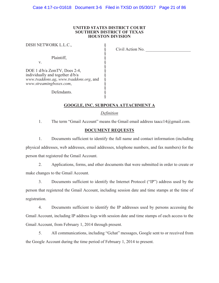# **UNITED STATES DISTRICT COURT SOUTHERN DISTRICT OF TEXAS HOUSTON DIVISION**

 § Plaintiff,

v.  $\S$ 

DISH NETWORK L.L.C.,<br>
§<br>
Plaintiff,<br>
v.<br>
DOE 1 d/b/a ZemTV, Does 2-4,<br>
individually and together d/b/a<br>
www.tvaddons.ag, www.tvaddons.org, and<br>
§<br>
www.streamingboxes.com,<br>
§<br>
Defendants.<br>
§<br>
§<br>
S § DOE 1 d/b/a ZemTV, Does 2-4, individually and together  $d/b/a$ *www.tvaddons.ag*, *www.tvaddons.org*, and § *www.streamingboxes.com*, § §

Defendants.

§

§ Civil Action No. \_\_\_\_\_\_\_\_\_\_\_\_\_\_\_\_\_\_\_\_\_

# **GOOGLE, INC. SUBPOENA ATTACHMENT A**

# *Definition*

1. The term "Gmail Account" means the Gmail email address taacc14@gmail.com.

# **DOCUMENT REQUESTS**

 1. Documents sufficient to identify the full name and contact information (including physical addresses, web addresses, email addresses, telephone numbers, and fax numbers) for the person that registered the Gmail Account.

 2. Applications, forms, and other documents that were submitted in order to create or make changes to the Gmail Account.

 3. Documents sufficient to identify the Internet Protocol ("IP") address used by the person that registered the Gmail Account, including session date and time stamps at the time of registration.

 4. Documents sufficient to identify the IP addresses used by persons accessing the Gmail Account, including IP address logs with session date and time stamps of each access to the Gmail Account, from February 1, 2014 through present.

 5. All communications, including "Gchat" messages, Google sent to or received from the Google Account during the time period of February 1, 2014 to present.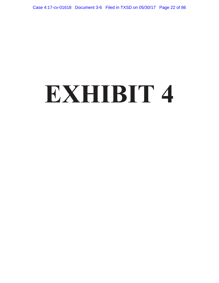# **EXHIBIT 4**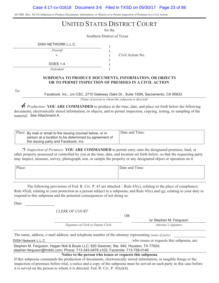Case 4:17-cv-01618 Document 3-6 Filed in TXSD on 05/30/17 Page 23 of 86

AO 88B (Rev. 02/14) Subpoena to Produce Documents, Information, or Objects or to Permit Inspection of Premises in a Civil Action

# UNITED STATES DISTRICT COURT

for the

) ) ) ) ) )

Southern District of Texas

 $P^1$   $\cdot$   $\cdot$   $\cdot$   $\cdot$   $\cdot$ DISH NETWORK L.L.C.

| Plaintiff       |  |
|-----------------|--|
| V.              |  |
|                 |  |
| <b>DOES 1-4</b> |  |
| ______          |  |

Civil Action No.

### *Defendant*

## **SUBPOENA TO PRODUCE DOCUMENTS, INFORMATION, OR OBJECTS OR TO PERMIT INSPECTION OF PREMISES IN A CIVIL ACTION**

To:

Facebook, Inc., c/o CSC, 2710 Gateway Oaks Dr., Suite 150N, Sacramento, CA 95833

*(Name of person to whom this subpoena is directed)*

★ *Production:* YOU ARE COMMANDED to produce at the time, date, and place set forth below the following documents, electronically stored information, or objects, and to permit inspection, copying, testing, or sampling of the material: See Attachment A.

| Place: By mail or email to the issuing counsel below, or in<br>person at a location to be determined by agreement of<br>the issuing party and Facebook, Inc. | Date and Time: |
|--------------------------------------------------------------------------------------------------------------------------------------------------------------|----------------|
|--------------------------------------------------------------------------------------------------------------------------------------------------------------|----------------|

- *Inspection of Premises:* **YOU ARE COMMANDED** to permit entry onto the designated premises, land, or other property possessed or controlled by you at the time, date, and location set forth below, so that the requesting party may inspect, measure, survey, photograph, test, or sample the property or any designated object or operation on it.

| Place: | Date and Time: |
|--------|----------------|
|        |                |
|        |                |

The following provisions of Fed. R. Civ. P. 45 are attached – Rule 45(c), relating to the place of compliance; Rule 45(d), relating to your protection as a person subject to a subpoena; and Rule 45(e) and (g), relating to your duty to respond to this subpoena and the potential consequences of not doing so.

Date:

DISH Network L.L.C.

*CLERK OF COURT*

OR

Signature of Clerk or Deputy Clerk Attorney's signature

/s/ Stephen M. Ferguson

The name, address, e-mail address, and telephone number of the attorney representing *(name of party)*

, who issues or requests this subpoena, are:

Stephen M. Ferguson, Hagan Noll & Boyle LLC; 820 Gessner, Ste. 940, Houston, TX 77024; stephen.ferguson@hnbllc.com; Phone: 713-343-0478 x102; Facsimile: 713-758-0146

**Notice to the person who issues or requests this subpoena**

If this subpoena commands the production of documents, electronically stored information, or tangible things or the inspection of premises before trial, a notice and a copy of the subpoena must be served on each party in this case before it is served on the person to whom it is directed. Fed. R. Civ. P. 45(a)(4).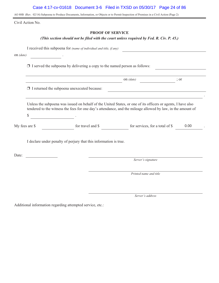# Case 4:17-cv-01618 Document 3-6 Filed in TXSD on 05/30/17 Page 24 of 86

AO 88B (Rev. 02/14) Subpoena to Produce Documents, Information, or Objects or to Permit Inspection of Premises in a Civil Action (Page 2)

Civil Action No.

# **PROOF OF SERVICE**

### *(This section should not be filed with the court unless required by Fed. R. Civ. P. 45.)*

I received this subpoena for *(name of individual and title, if any)*

on *(date)* .

□ I served the subpoena by delivering a copy to the named person as follows:

|                                                    | on <i>(date)</i> | , or |
|----------------------------------------------------|------------------|------|
| $\Box$ I returned the subpoena unexecuted because: |                  |      |

Unless the subpoena was issued on behalf of the United States, or one of its officers or agents, I have also tendered to the witness the fees for one day's attendance, and the mileage allowed by law, in the amount of

 $\frac{\text{S}}{\text{S}}$  .

| My fees are \$ | for travel and S | for services, for a total of \$ | 0.00 |  |
|----------------|------------------|---------------------------------|------|--|
|                |                  |                                 |      |  |

I declare under penalty of perjury that this information is true.

Date:

*Server's signature*

.

*Printed name and title*

*Server's address*

Additional information regarding attempted service, etc.: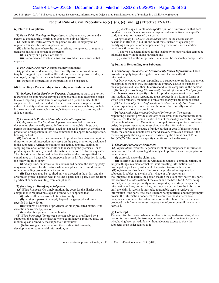AO 88B (Rev. 02/14) Subpoena to Produce Documents, Information, or Objects or to Permit Inspection of Premises in a Civil Action(Page 3)

### **Federal Rule of Civil Procedure 45 (c), (d), (e), and (g) (Effective 12/1/13)**

**(c) Place of Compliance.**

 **(1)** *For a Trial, Hearing, or Deposition.* A subpoena may command a person to attend a trial, hearing, or deposition only as follows:

 **(A)** within 100 miles of where the person resides, is employed, or regularly transacts business in person; or

 **(B)** within the state where the person resides, is employed, or regularly transacts business in person, if the person

 **(i)** is a party or a party's officer; or

 **(ii)** is commanded to attend a trial and would not incur substantial expense.

 **(2)** *For Other Discovery.* A subpoena may command:

 **(A)** production of documents, electronically stored information, or tangible things at a place within 100 miles of where the person resides, is employed, or regularly transacts business in person; and

 **(B)** inspection of premises at the premises to be inspected.

### **(d) Protecting a Person Subject to a Subpoena; Enforcement.**

 **(1)** *Avoiding Undue Burden or Expense; Sanctions.* A party or attorney responsible for issuing and serving a subpoena must take reasonable steps to avoid imposing undue burden or expense on a person subject to the subpoena. The court for the district where compliance is required must enforce this duty and impose an appropriate sanction—which may include lost earnings and reasonable attorney's fees—on a party or attorney who fails to comply.

### **(2)** *Command to Produce Materials or Permit Inspection.*

**(A)** *Appearance Not Required.* A person commanded to produce documents, electronically stored information, or tangible things, or to permit the inspection of premises, need not appear in person at the place of production or inspection unless also commanded to appear for a deposition, hearing, or trial.

**(B)** *Objections.* A person commanded to produce documents or tangible things or to permit inspection may serve on the party or attorney designated in the subpoena a written objection to inspecting, copying, testing, or sampling any or all of the materials or to inspecting the premises—or to producing electronically stored information in the form or forms requested. The objection must be served before the earlier of the time specified for compliance or 14 days after the subpoena is served. If an objection is made, the following rules apply:

**(i)** At any time, on notice to the commanded person, the serving party may move the court for the district where compliance is required for an order compelling production or inspection.

 **(ii)** These acts may be required only as directed in the order, and the order must protect a person who is neither a party nor a party's officer from significant expense resulting from compliance.

### **(3)** *Quashing or Modifying a Subpoena.*

**(A)** *When Required.* On timely motion, the court for the district where compliance is required must quash or modify a subpoena that:

 **(i)** fails to allow a reasonable time to comply;

**(ii)** requires a person to comply beyond the geographical limits specified in Rule  $45(c)$ ;

**(iii)** requires disclosure of privileged or other protected matter, if no exception or waiver applies; or

**(iv)** subjects a person to undue burden.

**(B)** *When Permitted.* To protect a person subject to or affected by a subpoena, the court for the district where compliance is required may, on motion, quash or modify the subpoena if it requires:

**(i)** disclosing a trade secret or other confidential research, development, or commercial information; or

**(ii)** disclosing an unretained expert's opinion or information that does not describe specific occurrences in dispute and results from the expert's study that was not requested by a party.

**(C)** *Specifying Conditions as an Alternative.* In the circumstances described in Rule 45(d)(3)(B), the court may, instead of quashing or modifying a subpoena, order appearance or production under specified conditions if the serving party:

**(i)** shows a substantial need for the testimony or material that cannot be otherwise met without undue hardship; and

**(ii)** ensures that the subpoenaed person will be reasonably compensated.

### **(e) Duties in Responding to a Subpoena.**

 **(1)** *Producing Documents or Electronically Stored Information.* These procedures apply to producing documents or electronically stored information:

**(A)** *Documents.* A person responding to a subpoena to produce documents must produce them as they are kept in the ordinary course of business or must organize and label them to correspond to the categories in the demand.

**(B)** *Form for Producing Electronically Stored Information Not Specified.* If a subpoena does not specify a form for producing electronically stored information, the person responding must produce it in a form or forms in which it is ordinarily maintained or in a reasonably usable form or forms.

**(C)** *Electronically Stored Information Produced in Only One Form.* The person responding need not produce the same electronically stored information in more than one form.

**(D)** *Inaccessible Electronically Stored Information.* The person responding need not provide discovery of electronically stored information from sources that the person identifies as not reasonably accessible because of undue burden or cost. On motion to compel discovery or for a protective order, the person responding must show that the information is not reasonably accessible because of undue burden or cost. If that showing is made, the court may nonetheless order discovery from such sources if the requesting party shows good cause, considering the limitations of Rule  $26(b)(2)(C)$ . The court may specify conditions for the discovery.

### **(2)** *Claiming Privilege or Protection.*

**(A)** *Information Withheld.* A person withholding subpoenaed information under a claim that it is privileged or subject to protection as trial-preparation material must:

**(i)** expressly make the claim; and

**(ii)** describe the nature of the withheld documents, communications, or tangible things in a manner that, without revealing information itself privileged or protected, will enable the parties to assess the claim.

**(B)** *Information Produced.* If information produced in response to a subpoena is subject to a claim of privilege or of protection as trial-preparation material, the person making the claim may notify any party that received the information of the claim and the basis for it. After being notified, a party must promptly return, sequester, or destroy the specified information and any copies it has; must not use or disclose the information until the claim is resolved; must take reasonable steps to retrieve the information if the party disclosed it before being notified; and may promptly present the information under seal to the court for the district where compliance is required for a determination of the claim. The person who produced the information must preserve the information until the claim is resolved.

### **(g) Contempt.**

The court for the district where compliance is required—and also, after a motion is transferred, the issuing court—may hold in contempt a person who, having been served, fails without adequate excuse to obey the subpoena or an order related to it.

For access to subpoena materials, see Fed. R. Civ. P. 45(a) Committee Note (2013).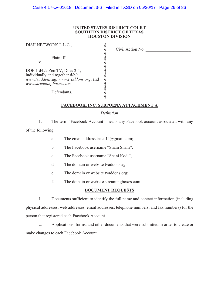# **UNITED STATES DISTRICT COURT SOUTHERN DISTRICT OF TEXAS HOUSTON DIVISION**

DISH NETWORK L.L.C.,<br>
§<br>
Plaintiff,<br>
v.<br>
DOE 1 d/b/a ZemTV, Does 2-4,<br>
individually and together d/b/a<br>
www.tvaddons.ag, www.tvaddons.org, and<br>
§<br>
www.streamingboxes.com,<br>
§<br>
Defendants.<br>
§<br>
§<br>
S § Plaintiff, v.  $\S$  § DOE 1 d/b/a ZemTV, Does 2-4, individually and together  $d/b/a$ *www.tvaddons.ag*, *www.tvaddons.org*, and § *www.streamingboxes.com*, § §

Defendants. § § Civil Action No. \_\_\_\_\_\_\_\_\_\_\_\_\_\_\_\_\_\_\_\_\_

# **FACEBOOK, INC. SUBPOENA ATTACHMENT A**

# *Definition*

1. The term "Facebook Account" means any Facebook account associated with any

of the following:

- a. The email address taacc14@gmail.com;
- b. The Facebook username "Shani Shani";
- c. The Facebook username "Shani Kodi";
- d. The domain or website tvaddons.ag;
- e. The domain or website tvaddons.org;
- f. The domain or website streamingboxes.com.

# **DOCUMENT REQUESTS**

 1. Documents sufficient to identify the full name and contact information (including physical addresses, web addresses, email addresses, telephone numbers, and fax numbers) for the person that registered each Facebook Account.

 2. Applications, forms, and other documents that were submitted in order to create or make changes to each Facebook Account.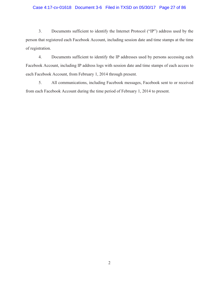# Case 4:17-cv-01618 Document 3-6 Filed in TXSD on 05/30/17 Page 27 of 86

 3. Documents sufficient to identify the Internet Protocol ("IP") address used by the person that registered each Facebook Account, including session date and time stamps at the time of registration.

 4. Documents sufficient to identify the IP addresses used by persons accessing each Facebook Account, including IP address logs with session date and time stamps of each access to each Facebook Account, from February 1, 2014 through present.

 5. All communications, including Facebook messages, Facebook sent to or received from each Facebook Account during the time period of February 1, 2014 to present.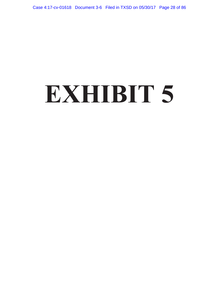# **EXHIBIT 5**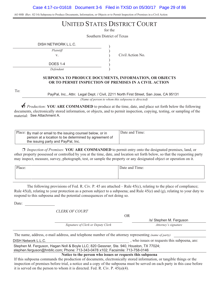Case 4:17-cv-01618 Document 3-6 Filed in TXSD on 05/30/17 Page 29 of 86

AO 88B (Rev. 02/14) Subpoena to Produce Documents, Information, or Objects or to Permit Inspection of Premises in a Civil Action

# UNITED STATES DISTRICT COURT

for the

) ) ) ) ) )

Southern District of Texas

DISH NETWORK L.L.C.

| Plaintiff       |  |
|-----------------|--|
| V.              |  |
|                 |  |
| <b>DOES 1-4</b> |  |
| Defendant       |  |

Civil Action No.

# **SUBPOENA TO PRODUCE DOCUMENTS, INFORMATION, OR OBJECTS OR TO PERMIT INSPECTION OF PREMISES IN A CIVIL ACTION**

To:

PayPal, Inc., Attn: Legal Dept. / Civil, 2211 North First Street, San Jose, CA 95131

*(Name of person to whom this subpoena is directed)*

★ *Production:* YOU ARE COMMANDED to produce at the time, date, and place set forth below the following documents, electronically stored information, or objects, and to permit inspection, copying, testing, or sampling of the material: See Attachment A.

- *Inspection of Premises:* **YOU ARE COMMANDED** to permit entry onto the designated premises, land, or other property possessed or controlled by you at the time, date, and location set forth below, so that the requesting party may inspect, measure, survey, photograph, test, or sample the property or any designated object or operation on it.

| Place: | Date and Time: |
|--------|----------------|
|        |                |
|        |                |

The following provisions of Fed. R. Civ. P. 45 are attached – Rule 45(c), relating to the place of compliance; Rule 45(d), relating to your protection as a person subject to a subpoena; and Rule 45(e) and (g), relating to your duty to respond to this subpoena and the potential consequences of not doing so.

Date:

DISH Network L.L.C.

*CLERK OF COURT*

OR

Signature of Clerk or Deputy Clerk Attorney's signature /s/ Stephen M. Ferguson

The name, address, e-mail address, and telephone number of the attorney representing *(name of party)*

, who issues or requests this subpoena, are:

Stephen M. Ferguson, Hagan Noll & Boyle LLC; 820 Gessner, Ste. 940, Houston, TX 77024; stephen.ferguson@hnbllc.com; Phone: 713-343-0478 x102; Facsimile: 713-758-0146

**Notice to the person who issues or requests this subpoena**

If this subpoena commands the production of documents, electronically stored information, or tangible things or the inspection of premises before trial, a notice and a copy of the subpoena must be served on each party in this case before it is served on the person to whom it is directed. Fed. R. Civ. P. 45(a)(4).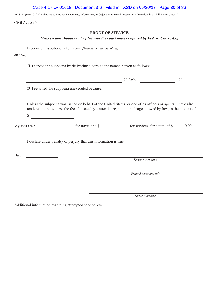# Case 4:17-cv-01618 Document 3-6 Filed in TXSD on 05/30/17 Page 30 of 86

AO 88B (Rev. 02/14) Subpoena to Produce Documents, Information, or Objects or to Permit Inspection of Premises in a Civil Action (Page 2)

Civil Action No.

# **PROOF OF SERVICE**

### *(This section should not be filed with the court unless required by Fed. R. Civ. P. 45.)*

I received this subpoena for *(name of individual and title, if any)*

on *(date)* .

□ I served the subpoena by delivering a copy to the named person as follows:

|                                                    | on <i>(date)</i> | : or |  |
|----------------------------------------------------|------------------|------|--|
| $\Box$ I returned the subpoena unexecuted because: |                  |      |  |

Unless the subpoena was issued on behalf of the United States, or one of its officers or agents, I have also tendered to the witness the fees for one day's attendance, and the mileage allowed by law, in the amount of

 $\frac{\text{S}}{\text{S}}$  .

| My fees are \$ | for travel and S | for services, for a total of \$ | 0.00 |  |
|----------------|------------------|---------------------------------|------|--|
|                |                  |                                 |      |  |

I declare under penalty of perjury that this information is true.

Date:

*Server's signature*

.

*Printed name and title*

*Server's address*

Additional information regarding attempted service, etc.: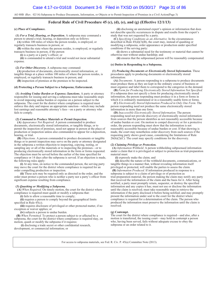AO 88B (Rev. 02/14) Subpoena to Produce Documents, Information, or Objects or to Permit Inspection of Premises in a Civil Action(Page 3)

### **Federal Rule of Civil Procedure 45 (c), (d), (e), and (g) (Effective 12/1/13)**

**(c) Place of Compliance.**

 **(1)** *For a Trial, Hearing, or Deposition.* A subpoena may command a person to attend a trial, hearing, or deposition only as follows:

 **(A)** within 100 miles of where the person resides, is employed, or regularly transacts business in person; or

 **(B)** within the state where the person resides, is employed, or regularly transacts business in person, if the person

 **(i)** is a party or a party's officer; or

 **(ii)** is commanded to attend a trial and would not incur substantial expense.

 **(2)** *For Other Discovery.* A subpoena may command:

 **(A)** production of documents, electronically stored information, or tangible things at a place within 100 miles of where the person resides, is employed, or regularly transacts business in person; and

 **(B)** inspection of premises at the premises to be inspected.

### **(d) Protecting a Person Subject to a Subpoena; Enforcement.**

 **(1)** *Avoiding Undue Burden or Expense; Sanctions.* A party or attorney responsible for issuing and serving a subpoena must take reasonable steps to avoid imposing undue burden or expense on a person subject to the subpoena. The court for the district where compliance is required must enforce this duty and impose an appropriate sanction—which may include lost earnings and reasonable attorney's fees—on a party or attorney who fails to comply.

### **(2)** *Command to Produce Materials or Permit Inspection.*

**(A)** *Appearance Not Required.* A person commanded to produce documents, electronically stored information, or tangible things, or to permit the inspection of premises, need not appear in person at the place of production or inspection unless also commanded to appear for a deposition, hearing, or trial.

**(B)** *Objections.* A person commanded to produce documents or tangible things or to permit inspection may serve on the party or attorney designated in the subpoena a written objection to inspecting, copying, testing, or sampling any or all of the materials or to inspecting the premises—or to producing electronically stored information in the form or forms requested. The objection must be served before the earlier of the time specified for compliance or 14 days after the subpoena is served. If an objection is made, the following rules apply:

**(i)** At any time, on notice to the commanded person, the serving party may move the court for the district where compliance is required for an order compelling production or inspection.

 **(ii)** These acts may be required only as directed in the order, and the order must protect a person who is neither a party nor a party's officer from significant expense resulting from compliance.

### **(3)** *Quashing or Modifying a Subpoena.*

**(A)** *When Required.* On timely motion, the court for the district where compliance is required must quash or modify a subpoena that:

 **(i)** fails to allow a reasonable time to comply;

**(ii)** requires a person to comply beyond the geographical limits specified in Rule  $45(c)$ ;

**(iii)** requires disclosure of privileged or other protected matter, if no exception or waiver applies; or

**(iv)** subjects a person to undue burden.

**(B)** *When Permitted.* To protect a person subject to or affected by a subpoena, the court for the district where compliance is required may, on motion, quash or modify the subpoena if it requires:

**(i)** disclosing a trade secret or other confidential research, development, or commercial information; or

**(ii)** disclosing an unretained expert's opinion or information that does not describe specific occurrences in dispute and results from the expert's study that was not requested by a party.

**(C)** *Specifying Conditions as an Alternative.* In the circumstances described in Rule 45(d)(3)(B), the court may, instead of quashing or modifying a subpoena, order appearance or production under specified conditions if the serving party:

**(i)** shows a substantial need for the testimony or material that cannot be otherwise met without undue hardship; and

**(ii)** ensures that the subpoenaed person will be reasonably compensated.

### **(e) Duties in Responding to a Subpoena.**

 **(1)** *Producing Documents or Electronically Stored Information.* These procedures apply to producing documents or electronically stored information:

**(A)** *Documents.* A person responding to a subpoena to produce documents must produce them as they are kept in the ordinary course of business or must organize and label them to correspond to the categories in the demand.

**(B)** *Form for Producing Electronically Stored Information Not Specified.* If a subpoena does not specify a form for producing electronically stored information, the person responding must produce it in a form or forms in which it is ordinarily maintained or in a reasonably usable form or forms.

**(C)** *Electronically Stored Information Produced in Only One Form.* The person responding need not produce the same electronically stored information in more than one form.

**(D)** *Inaccessible Electronically Stored Information.* The person responding need not provide discovery of electronically stored information from sources that the person identifies as not reasonably accessible because of undue burden or cost. On motion to compel discovery or for a protective order, the person responding must show that the information is not reasonably accessible because of undue burden or cost. If that showing is made, the court may nonetheless order discovery from such sources if the requesting party shows good cause, considering the limitations of Rule  $26(b)(2)(C)$ . The court may specify conditions for the discovery.

### **(2)** *Claiming Privilege or Protection.*

**(A)** *Information Withheld.* A person withholding subpoenaed information under a claim that it is privileged or subject to protection as trial-preparation material must:

**(i)** expressly make the claim; and

**(ii)** describe the nature of the withheld documents, communications, or tangible things in a manner that, without revealing information itself privileged or protected, will enable the parties to assess the claim.

**(B)** *Information Produced.* If information produced in response to a subpoena is subject to a claim of privilege or of protection as trial-preparation material, the person making the claim may notify any party that received the information of the claim and the basis for it. After being notified, a party must promptly return, sequester, or destroy the specified information and any copies it has; must not use or disclose the information until the claim is resolved; must take reasonable steps to retrieve the information if the party disclosed it before being notified; and may promptly present the information under seal to the court for the district where compliance is required for a determination of the claim. The person who produced the information must preserve the information until the claim is resolved.

### **(g) Contempt.**

The court for the district where compliance is required—and also, after a motion is transferred, the issuing court—may hold in contempt a person who, having been served, fails without adequate excuse to obey the subpoena or an order related to it.

For access to subpoena materials, see Fed. R. Civ. P. 45(a) Committee Note (2013).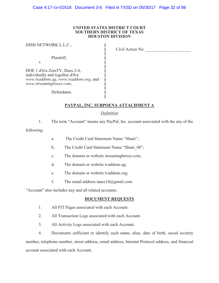# **UNITED STATES DISTRICT COURT SOUTHERN DISTRICT OF TEXAS HOUSTON DIVISION**

DISH NETWORK L.L.C.,<br>
§<br>
Plaintiff,<br>
v.<br>
DOE 1 d/b/a ZemTV, Does 2-4,<br>
individually and together d/b/a<br>
www.tvaddons.ag, www.tvaddons.org, and<br>
§<br>
www.streamingboxes.com,<br>
§<br>
Defendants.<br>
§<br>
§<br>
S § Plaintiff, v.  $\S$  § DOE 1 d/b/a ZemTV, Does 2-4, individually and together  $d/b/a$ *www.tvaddons.ag*, *www.tvaddons.org*, and § *www.streamingboxes.com*, § §

Defendants.

§

§ Civil Action No. \_\_\_\_\_\_\_\_\_\_\_\_\_\_\_\_\_\_\_\_\_

# **PAYPAL, INC. SUBPOENA ATTACHMENT A**

# *Definition*

1. The term "Account" means any PayPal, Inc. account associated with the any of the

following:

- a. The Credit Card Statement Name "Shani";
- b. The Credit Card Statement Name "Shani 08";
- c. The domain or website streamingboxes.com;
- d. The domain or website tvaddons.ag;
- e. The domain or website tvaddons.org;
- f. The email address taacc $14\omega$ gmail.com.

"Account" also includes any and all related accounts.

# **DOCUMENT REQUESTS**

- 1. All FIT Pages associated with each Account.
- 2. All Transaction Logs associated with each Account.
- 3. All Activity Logs associated with each Account.

 4. Documents sufficient to identify each name, alias, date of birth, social security number, telephone number, street address, email address, Internet Protocol address, and financial account associated with each Account.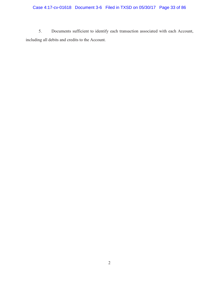# Case 4:17-cv-01618 Document 3-6 Filed in TXSD on 05/30/17 Page 33 of 86

 5. Documents sufficient to identify each transaction associated with each Account, including all debits and credits to the Account.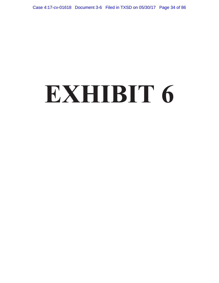# **EXHIBIT 6**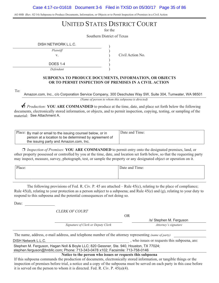Case 4:17-cv-01618 Document 3-6 Filed in TXSD on 05/30/17 Page 35 of 86

AO 88B (Rev. 02/14) Subpoena to Produce Documents, Information, or Objects or to Permit Inspection of Premises in a Civil Action

# UNITED STATES DISTRICT COURT

for the

) ) ) ) ) )

Southern District of Texas

DISH NETWORK L.L.C.

| Plaintiff       |  |
|-----------------|--|
| V.              |  |
| <b>DOES 1-4</b> |  |
|                 |  |

Civil Action No.

*Defendant*

# **SUBPOENA TO PRODUCE DOCUMENTS, INFORMATION, OR OBJECTS OR TO PERMIT INSPECTION OF PREMISES IN A CIVIL ACTION**

To:

Amazon.com, Inc., c/o Corporation Service Company, 300 Deschutes Way SW, Suite 304, Tumwater, WA 98501

*(Name of person to whom this subpoena is directed)*

★ *Production:* YOU ARE COMMANDED to produce at the time, date, and place set forth below the following documents, electronically stored information, or objects, and to permit inspection, copying, testing, or sampling of the material: See Attachment A.

| Place: By mail or email to the issuing counsel below, or in<br>person at a location to be determined by agreement of<br>the issuing party and Amazon.com, Inc. | Date and Time: |
|----------------------------------------------------------------------------------------------------------------------------------------------------------------|----------------|
|----------------------------------------------------------------------------------------------------------------------------------------------------------------|----------------|

- *Inspection of Premises:* **YOU ARE COMMANDED** to permit entry onto the designated premises, land, or other property possessed or controlled by you at the time, date, and location set forth below, so that the requesting party may inspect, measure, survey, photograph, test, or sample the property or any designated object or operation on it.

| Place: | Date and Time: |
|--------|----------------|
|        |                |
|        |                |

The following provisions of Fed. R. Civ. P. 45 are attached – Rule 45(c), relating to the place of compliance; Rule 45(d), relating to your protection as a person subject to a subpoena; and Rule 45(e) and (g), relating to your duty to respond to this subpoena and the potential consequences of not doing so.

Date:

DISH Network L.L.C.

*CLERK OF COURT*

OR

/s/ Stephen M. Ferguson

Signature of Clerk or Deputy Clerk Attorney's signature

The name, address, e-mail address, and telephone number of the attorney representing *(name of party)*

, who issues or requests this subpoena, are:

Stephen M. Ferguson, Hagan Noll & Boyle LLC; 820 Gessner, Ste. 940, Houston, TX 77024; stephen.ferguson@hnbllc.com; Phone: 713-343-0478 x102; Facsimile: 713-758-0146

**Notice to the person who issues or requests this subpoena**

If this subpoena commands the production of documents, electronically stored information, or tangible things or the inspection of premises before trial, a notice and a copy of the subpoena must be served on each party in this case before it is served on the person to whom it is directed. Fed. R. Civ. P. 45(a)(4).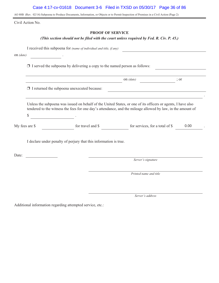# Case 4:17-cv-01618 Document 3-6 Filed in TXSD on 05/30/17 Page 36 of 86

AO 88B (Rev. 02/14) Subpoena to Produce Documents, Information, or Objects or to Permit Inspection of Premises in a Civil Action (Page 2)

Civil Action No.

# **PROOF OF SERVICE**

### *(This section should not be filed with the court unless required by Fed. R. Civ. P. 45.)*

I received this subpoena for *(name of individual and title, if any)*

on *(date)* .

□ I served the subpoena by delivering a copy to the named person as follows:

|                                                    | on <i>(date)</i> |  |
|----------------------------------------------------|------------------|--|
| $\Box$ I returned the subpoena unexecuted because: |                  |  |

Unless the subpoena was issued on behalf of the United States, or one of its officers or agents, I have also tendered to the witness the fees for one day's attendance, and the mileage allowed by law, in the amount of

 $\frac{\text{S}}{\text{S}}$  .

| My fees are \$ | for travel and S | for services, for a total of \$ | 0.00 |  |
|----------------|------------------|---------------------------------|------|--|
|                |                  |                                 |      |  |

I declare under penalty of perjury that this information is true.

Date:

*Server's signature*

.

*Printed name and title*

*Server's address*

Additional information regarding attempted service, etc.: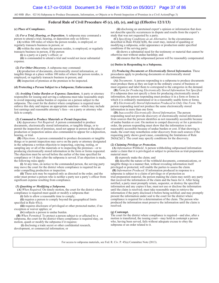AO 88B (Rev. 02/14) Subpoena to Produce Documents, Information, or Objects or to Permit Inspection of Premises in a Civil Action(Page 3)

### **Federal Rule of Civil Procedure 45 (c), (d), (e), and (g) (Effective 12/1/13)**

**(c) Place of Compliance.**

 **(1)** *For a Trial, Hearing, or Deposition.* A subpoena may command a person to attend a trial, hearing, or deposition only as follows:

 **(A)** within 100 miles of where the person resides, is employed, or regularly transacts business in person; or

 **(B)** within the state where the person resides, is employed, or regularly transacts business in person, if the person

 **(i)** is a party or a party's officer; or

 **(ii)** is commanded to attend a trial and would not incur substantial expense.

 **(2)** *For Other Discovery.* A subpoena may command:

 **(A)** production of documents, electronically stored information, or tangible things at a place within 100 miles of where the person resides, is employed, or regularly transacts business in person; and

 **(B)** inspection of premises at the premises to be inspected.

### **(d) Protecting a Person Subject to a Subpoena; Enforcement.**

 **(1)** *Avoiding Undue Burden or Expense; Sanctions.* A party or attorney responsible for issuing and serving a subpoena must take reasonable steps to avoid imposing undue burden or expense on a person subject to the subpoena. The court for the district where compliance is required must enforce this duty and impose an appropriate sanction—which may include lost earnings and reasonable attorney's fees—on a party or attorney who fails to comply.

### **(2)** *Command to Produce Materials or Permit Inspection.*

**(A)** *Appearance Not Required.* A person commanded to produce documents, electronically stored information, or tangible things, or to permit the inspection of premises, need not appear in person at the place of production or inspection unless also commanded to appear for a deposition, hearing, or trial.

**(B)** *Objections.* A person commanded to produce documents or tangible things or to permit inspection may serve on the party or attorney designated in the subpoena a written objection to inspecting, copying, testing, or sampling any or all of the materials or to inspecting the premises—or to producing electronically stored information in the form or forms requested. The objection must be served before the earlier of the time specified for compliance or 14 days after the subpoena is served. If an objection is made, the following rules apply:

**(i)** At any time, on notice to the commanded person, the serving party may move the court for the district where compliance is required for an order compelling production or inspection.

 **(ii)** These acts may be required only as directed in the order, and the order must protect a person who is neither a party nor a party's officer from significant expense resulting from compliance.

### **(3)** *Quashing or Modifying a Subpoena.*

**(A)** *When Required.* On timely motion, the court for the district where compliance is required must quash or modify a subpoena that:

 **(i)** fails to allow a reasonable time to comply;

**(ii)** requires a person to comply beyond the geographical limits specified in Rule  $45(c)$ ;

**(iii)** requires disclosure of privileged or other protected matter, if no exception or waiver applies; or

**(iv)** subjects a person to undue burden.

**(B)** *When Permitted.* To protect a person subject to or affected by a subpoena, the court for the district where compliance is required may, on motion, quash or modify the subpoena if it requires:

**(i)** disclosing a trade secret or other confidential research, development, or commercial information; or

**(ii)** disclosing an unretained expert's opinion or information that does not describe specific occurrences in dispute and results from the expert's study that was not requested by a party.

**(C)** *Specifying Conditions as an Alternative.* In the circumstances described in Rule 45(d)(3)(B), the court may, instead of quashing or modifying a subpoena, order appearance or production under specified conditions if the serving party:

**(i)** shows a substantial need for the testimony or material that cannot be otherwise met without undue hardship; and

**(ii)** ensures that the subpoenaed person will be reasonably compensated.

### **(e) Duties in Responding to a Subpoena.**

 **(1)** *Producing Documents or Electronically Stored Information.* These procedures apply to producing documents or electronically stored information:

**(A)** *Documents.* A person responding to a subpoena to produce documents must produce them as they are kept in the ordinary course of business or must organize and label them to correspond to the categories in the demand.

**(B)** *Form for Producing Electronically Stored Information Not Specified.* If a subpoena does not specify a form for producing electronically stored information, the person responding must produce it in a form or forms in which it is ordinarily maintained or in a reasonably usable form or forms.

**(C)** *Electronically Stored Information Produced in Only One Form.* The person responding need not produce the same electronically stored information in more than one form.

**(D)** *Inaccessible Electronically Stored Information.* The person responding need not provide discovery of electronically stored information from sources that the person identifies as not reasonably accessible because of undue burden or cost. On motion to compel discovery or for a protective order, the person responding must show that the information is not reasonably accessible because of undue burden or cost. If that showing is made, the court may nonetheless order discovery from such sources if the requesting party shows good cause, considering the limitations of Rule  $26(b)(2)(C)$ . The court may specify conditions for the discovery.

### **(2)** *Claiming Privilege or Protection.*

**(A)** *Information Withheld.* A person withholding subpoenaed information under a claim that it is privileged or subject to protection as trial-preparation material must:

**(i)** expressly make the claim; and

**(ii)** describe the nature of the withheld documents, communications, or tangible things in a manner that, without revealing information itself privileged or protected, will enable the parties to assess the claim.

**(B)** *Information Produced.* If information produced in response to a subpoena is subject to a claim of privilege or of protection as trial-preparation material, the person making the claim may notify any party that received the information of the claim and the basis for it. After being notified, a party must promptly return, sequester, or destroy the specified information and any copies it has; must not use or disclose the information until the claim is resolved; must take reasonable steps to retrieve the information if the party disclosed it before being notified; and may promptly present the information under seal to the court for the district where compliance is required for a determination of the claim. The person who produced the information must preserve the information until the claim is resolved.

### **(g) Contempt.**

The court for the district where compliance is required—and also, after a motion is transferred, the issuing court—may hold in contempt a person who, having been served, fails without adequate excuse to obey the subpoena or an order related to it.

For access to subpoena materials, see Fed. R. Civ. P. 45(a) Committee Note (2013).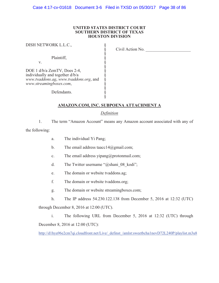# **UNITED STATES DISTRICT COURT SOUTHERN DISTRICT OF TEXAS HOUSTON DIVISION**

DISH NETWORK L.L.C.,<br>
§<br>
Plaintiff,<br>
v.<br>
DOE 1 d/b/a ZemTV, Does 2-4,<br>
individually and together d/b/a<br>
www.tvaddons.ag, www.tvaddons.org, and<br>
§<br>
www.streamingboxes.com,<br>
§<br>
Defendants.<br>
§<br>
§<br>
S § Plaintiff, v.  $\S$  § DOE 1 d/b/a ZemTV, Does 2-4, individually and together  $d/b/a$ *www.tvaddons.ag*, *www.tvaddons.org*, and § *www.streamingboxes.com*, § § Defendants.

§

§ Civil Action No. \_\_\_\_\_\_\_\_\_\_\_\_\_\_\_\_\_\_\_\_\_

# **AMAZON.COM, INC. SUBPOENA ATTACHMENT A**

# *Definition*

1. The term "Amazon Account" means any Amazon account associated with any of

the following:

- a. The individual Yi Pang;
- b. The email address taacc $14$  ( $\partial$ gmail.com;
- c. The email address yipang $\alpha$  protonmail.com;
- d. The Twitter username "@shani\_08\_kodi";
- e. The domain or website tvaddons.ag;
- f. The domain or website tvaddons.org;
- g. The domain or website streamingboxes.com;
- h. The IP address 54.230.122.138 from December 5, 2016 at 12:32 (UTC)

through December 8, 2016 at 12:00 (UTC).

i. The following URL from December 5, 2016 at 12:32 (UTC) through December 8, 2016 at 12:00 (UTC):

http://d1hya96e2cm7qi.cloudfront.net/Live/\_definst\_/amlst:sweetbcha1novD72L240P/playlist.m3u8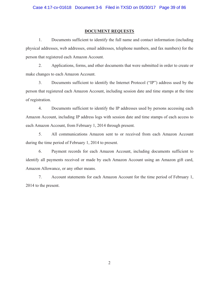### **DOCUMENT REQUESTS**

 1. Documents sufficient to identify the full name and contact information (including physical addresses, web addresses, email addresses, telephone numbers, and fax numbers) for the person that registered each Amazon Account.

 2. Applications, forms, and other documents that were submitted in order to create or make changes to each Amazon Account.

 3. Documents sufficient to identify the Internet Protocol ("IP") address used by the person that registered each Amazon Account, including session date and time stamps at the time of registration.

 4. Documents sufficient to identify the IP addresses used by persons accessing each Amazon Account, including IP address logs with session date and time stamps of each access to each Amazon Account, from February 1, 2014 through present.

 5. All communications Amazon sent to or received from each Amazon Account during the time period of February 1, 2014 to present.

 6. Payment records for each Amazon Account, including documents sufficient to identify all payments received or made by each Amazon Account using an Amazon gift card, Amazon Allowance, or any other means.

 7. Account statements for each Amazon Account for the time period of February 1, 2014 to the present.

2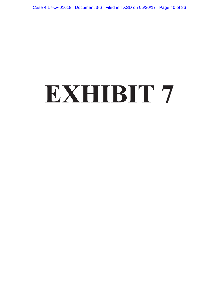# **EXHIBIT 7**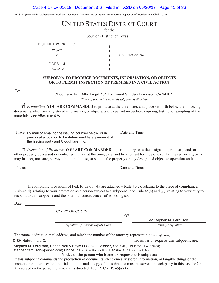Case 4:17-cv-01618 Document 3-6 Filed in TXSD on 05/30/17 Page 41 of 86

AO 88B (Rev. 02/14) Subpoena to Produce Documents, Information, or Objects or to Permit Inspection of Premises in a Civil Action

# UNITED STATES DISTRICT COURT

for the

) ) ) ) ) )

Southern District of Texas

| DISH NETWORK L.L.C. |  |
|---------------------|--|
| Plaintiff           |  |
| V.                  |  |
| <b>DOES 1-4</b>     |  |

*Defendant*

Civil Action No.

# **SUBPOENA TO PRODUCE DOCUMENTS, INFORMATION, OR OBJECTS OR TO PERMIT INSPECTION OF PREMISES IN A CIVIL ACTION**

To:

CloudFlare, Inc., Attn: Legal, 101 Townsend St., San Francisco, CA 94107

*(Name of person to whom this subpoena is directed)*

★ *Production:* YOU ARE COMMANDED to produce at the time, date, and place set forth below the following documents, electronically stored information, or objects, and to permit inspection, copying, testing, or sampling of the material: See Attachment A.

| Place: By mail or email to the issuing counsel below, or in<br>person at a location to be determined by agreement of<br>the issuing party and CloudFlare, Inc. | Date and Time: |
|----------------------------------------------------------------------------------------------------------------------------------------------------------------|----------------|
|----------------------------------------------------------------------------------------------------------------------------------------------------------------|----------------|

- *Inspection of Premises:* **YOU ARE COMMANDED** to permit entry onto the designated premises, land, or other property possessed or controlled by you at the time, date, and location set forth below, so that the requesting party may inspect, measure, survey, photograph, test, or sample the property or any designated object or operation on it.

| Place: | Date and Time: |
|--------|----------------|
|        |                |
|        |                |

The following provisions of Fed. R. Civ. P. 45 are attached – Rule 45(c), relating to the place of compliance; Rule 45(d), relating to your protection as a person subject to a subpoena; and Rule 45(e) and (g), relating to your duty to respond to this subpoena and the potential consequences of not doing so.

Date:

DISH Network L.L.C.

*CLERK OF COURT*

OR

/s/ Stephen M. Ferguson

Signature of Clerk or Deputy Clerk Attorney's signature

The name, address, e-mail address, and telephone number of the attorney representing *(name of party)*

, who issues or requests this subpoena, are:

Stephen M. Ferguson, Hagan Noll & Boyle LLC; 820 Gessner, Ste. 940, Houston, TX 77024; stephen.ferguson@hnbllc.com; Phone: 713-343-0478 x102; Facsimile: 713-758-0146

**Notice to the person who issues or requests this subpoena**

If this subpoena commands the production of documents, electronically stored information, or tangible things or the inspection of premises before trial, a notice and a copy of the subpoena must be served on each party in this case before it is served on the person to whom it is directed. Fed. R. Civ. P. 45(a)(4).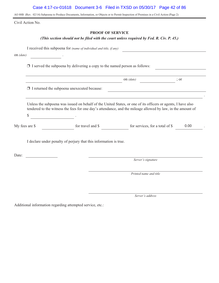# Case 4:17-cv-01618 Document 3-6 Filed in TXSD on 05/30/17 Page 42 of 86

AO 88B (Rev. 02/14) Subpoena to Produce Documents, Information, or Objects or to Permit Inspection of Premises in a Civil Action (Page 2)

Civil Action No.

# **PROOF OF SERVICE**

### *(This section should not be filed with the court unless required by Fed. R. Civ. P. 45.)*

I received this subpoena for *(name of individual and title, if any)*

on *(date)* .

□ I served the subpoena by delivering a copy to the named person as follows:

|                                                    | on <i>(date)</i> | , or |
|----------------------------------------------------|------------------|------|
| $\Box$ I returned the subpoena unexecuted because: |                  |      |

Unless the subpoena was issued on behalf of the United States, or one of its officers or agents, I have also tendered to the witness the fees for one day's attendance, and the mileage allowed by law, in the amount of

 $\frac{\text{S}}{\text{S}}$  .

| My fees are \$ | for travel and S | for services, for a total of \$ | 0.00 |  |
|----------------|------------------|---------------------------------|------|--|
|                |                  |                                 |      |  |

I declare under penalty of perjury that this information is true.

Date:

*Server's signature*

.

*Printed name and title*

*Server's address*

Additional information regarding attempted service, etc.: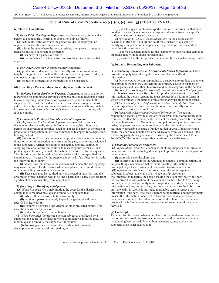AO 88B (Rev. 02/14) Subpoena to Produce Documents, Information, or Objects or to Permit Inspection of Premises in a Civil Action(Page 3)

### **Federal Rule of Civil Procedure 45 (c), (d), (e), and (g) (Effective 12/1/13)**

**(c) Place of Compliance.**

 **(1)** *For a Trial, Hearing, or Deposition.* A subpoena may command a person to attend a trial, hearing, or deposition only as follows:

 **(A)** within 100 miles of where the person resides, is employed, or regularly transacts business in person; or

 **(B)** within the state where the person resides, is employed, or regularly transacts business in person, if the person

 **(i)** is a party or a party's officer; or

 **(ii)** is commanded to attend a trial and would not incur substantial expense.

 **(2)** *For Other Discovery.* A subpoena may command:

 **(A)** production of documents, electronically stored information, or tangible things at a place within 100 miles of where the person resides, is employed, or regularly transacts business in person; and

 **(B)** inspection of premises at the premises to be inspected.

### **(d) Protecting a Person Subject to a Subpoena; Enforcement.**

 **(1)** *Avoiding Undue Burden or Expense; Sanctions.* A party or attorney responsible for issuing and serving a subpoena must take reasonable steps to avoid imposing undue burden or expense on a person subject to the subpoena. The court for the district where compliance is required must enforce this duty and impose an appropriate sanction—which may include lost earnings and reasonable attorney's fees—on a party or attorney who fails to comply.

### **(2)** *Command to Produce Materials or Permit Inspection.*

**(A)** *Appearance Not Required.* A person commanded to produce documents, electronically stored information, or tangible things, or to permit the inspection of premises, need not appear in person at the place of production or inspection unless also commanded to appear for a deposition, hearing, or trial.

**(B)** *Objections.* A person commanded to produce documents or tangible things or to permit inspection may serve on the party or attorney designated in the subpoena a written objection to inspecting, copying, testing, or sampling any or all of the materials or to inspecting the premises—or to producing electronically stored information in the form or forms requested. The objection must be served before the earlier of the time specified for compliance or 14 days after the subpoena is served. If an objection is made, the following rules apply:

**(i)** At any time, on notice to the commanded person, the serving party may move the court for the district where compliance is required for an order compelling production or inspection.

 **(ii)** These acts may be required only as directed in the order, and the order must protect a person who is neither a party nor a party's officer from significant expense resulting from compliance.

### **(3)** *Quashing or Modifying a Subpoena.*

**(A)** *When Required.* On timely motion, the court for the district where compliance is required must quash or modify a subpoena that:

 **(i)** fails to allow a reasonable time to comply;

**(ii)** requires a person to comply beyond the geographical limits specified in Rule  $45(c)$ ;

**(iii)** requires disclosure of privileged or other protected matter, if no exception or waiver applies; or

**(iv)** subjects a person to undue burden.

**(B)** *When Permitted.* To protect a person subject to or affected by a subpoena, the court for the district where compliance is required may, on motion, quash or modify the subpoena if it requires:

**(i)** disclosing a trade secret or other confidential research, development, or commercial information; or

**(ii)** disclosing an unretained expert's opinion or information that does not describe specific occurrences in dispute and results from the expert's study that was not requested by a party.

**(C)** *Specifying Conditions as an Alternative.* In the circumstances described in Rule 45(d)(3)(B), the court may, instead of quashing or modifying a subpoena, order appearance or production under specified conditions if the serving party:

**(i)** shows a substantial need for the testimony or material that cannot be otherwise met without undue hardship; and

**(ii)** ensures that the subpoenaed person will be reasonably compensated.

### **(e) Duties in Responding to a Subpoena.**

 **(1)** *Producing Documents or Electronically Stored Information.* These procedures apply to producing documents or electronically stored information:

**(A)** *Documents.* A person responding to a subpoena to produce documents must produce them as they are kept in the ordinary course of business or must organize and label them to correspond to the categories in the demand.

**(B)** *Form for Producing Electronically Stored Information Not Specified.* If a subpoena does not specify a form for producing electronically stored information, the person responding must produce it in a form or forms in which it is ordinarily maintained or in a reasonably usable form or forms.

**(C)** *Electronically Stored Information Produced in Only One Form.* The person responding need not produce the same electronically stored information in more than one form.

**(D)** *Inaccessible Electronically Stored Information.* The person responding need not provide discovery of electronically stored information from sources that the person identifies as not reasonably accessible because of undue burden or cost. On motion to compel discovery or for a protective order, the person responding must show that the information is not reasonably accessible because of undue burden or cost. If that showing is made, the court may nonetheless order discovery from such sources if the requesting party shows good cause, considering the limitations of Rule  $26(b)(2)(C)$ . The court may specify conditions for the discovery.

### **(2)** *Claiming Privilege or Protection.*

**(A)** *Information Withheld.* A person withholding subpoenaed information under a claim that it is privileged or subject to protection as trial-preparation material must:

**(i)** expressly make the claim; and

**(ii)** describe the nature of the withheld documents, communications, or tangible things in a manner that, without revealing information itself privileged or protected, will enable the parties to assess the claim.

**(B)** *Information Produced.* If information produced in response to a subpoena is subject to a claim of privilege or of protection as trial-preparation material, the person making the claim may notify any party that received the information of the claim and the basis for it. After being notified, a party must promptly return, sequester, or destroy the specified information and any copies it has; must not use or disclose the information until the claim is resolved; must take reasonable steps to retrieve the information if the party disclosed it before being notified; and may promptly present the information under seal to the court for the district where compliance is required for a determination of the claim. The person who produced the information must preserve the information until the claim is resolved.

### **(g) Contempt.**

The court for the district where compliance is required—and also, after a motion is transferred, the issuing court—may hold in contempt a person who, having been served, fails without adequate excuse to obey the subpoena or an order related to it.

For access to subpoena materials, see Fed. R. Civ. P. 45(a) Committee Note (2013).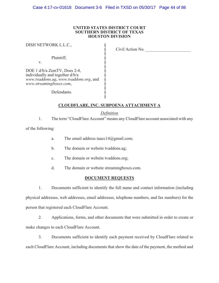# **UNITED STATES DISTRICT COURT SOUTHERN DISTRICT OF TEXAS HOUSTON DIVISION**

| DISH NETWORK L.L.C.,                   |  |
|----------------------------------------|--|
|                                        |  |
|                                        |  |
| Plaintiff,                             |  |
| V.                                     |  |
|                                        |  |
| DOE 1 d/b/a ZemTV, Does 2-4,           |  |
| individually and together d/b/a        |  |
| www.tvaddons.ag, www.tvaddons.org, and |  |
| www.streamingboxes.com,                |  |
|                                        |  |
| Defendants.                            |  |

§

§ Civil Action No. \_\_\_\_\_\_\_\_\_\_\_\_\_\_\_\_\_\_\_\_\_

# **CLOUDFLARE, INC. SUBPOENA ATTACHMENT A**

# *Definition*

1. The term "CloudFlare Account" means any CloudFlare account associated with any

of the following:

- a. The email address taacc14 $(\partial \text{gmail.com})$ ;
- b. The domain or website tvaddons.ag;
- c. The domain or website tvaddons.org;
- d. The domain or website streamingboxes.com.

# **DOCUMENT REQUESTS**

 1. Documents sufficient to identify the full name and contact information (including physical addresses, web addresses, email addresses, telephone numbers, and fax numbers) for the person that registered each CloudFlare Account.

 2. Applications, forms, and other documents that were submitted in order to create or make changes to each CloudFlare Account.

3. Documents sufficient to identify each payment received by CloudFlare related to each CloudFlare Account, including documents that show the date of the payment, the method and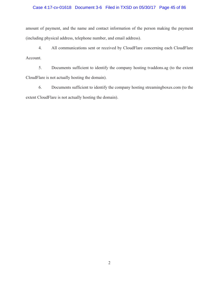# Case 4:17-cv-01618 Document 3-6 Filed in TXSD on 05/30/17 Page 45 of 86

amount of payment, and the name and contact information of the person making the payment (including physical address, telephone number, and email address).

4. All communications sent or received by CloudFlare concerning each CloudFlare Account.

5. Documents sufficient to identify the company hosting tvaddons.ag (to the extent CloudFlare is not actually hosting the domain).

6. Documents sufficient to identify the company hosting streamingboxes.com (to the extent CloudFlare is not actually hosting the domain).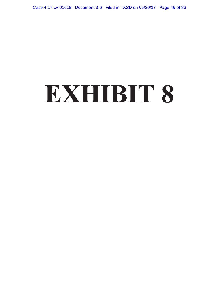# **EXHIBIT 8**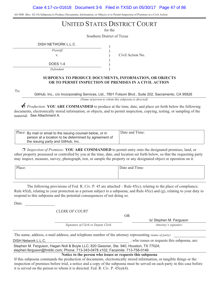Case 4:17-cv-01618 Document 3-6 Filed in TXSD on 05/30/17 Page 47 of 86

AO 88B (Rev. 02/14) Subpoena to Produce Documents, Information, or Objects or to Permit Inspection of Premises in a Civil Action

# UNITED STATES DISTRICT COURT

for the

) ) ) ) ) )

Southern District of Texas

DISH NETWORK L.L.C.

| Plaintiff       |  |
|-----------------|--|
|                 |  |
| <b>DOES 1-4</b> |  |
|                 |  |

Civil Action No.

### *Defendant*

# **SUBPOENA TO PRODUCE DOCUMENTS, INFORMATION, OR OBJECTS OR TO PERMIT INSPECTION OF PREMISES IN A CIVIL ACTION**

To:

GitHub, Inc., c/o Incorporating Services, Ltd., 7801 Folsom Blvd., Suite 202, Sacramento, CA 95826

*(Name of person to whom this subpoena is directed)*

★ *Production:* YOU ARE COMMANDED to produce at the time, date, and place set forth below the following documents, electronically stored information, or objects, and to permit inspection, copying, testing, or sampling of the material: See Attachment A.

- *Inspection of Premises:* **YOU ARE COMMANDED** to permit entry onto the designated premises, land, or other property possessed or controlled by you at the time, date, and location set forth below, so that the requesting party may inspect, measure, survey, photograph, test, or sample the property or any designated object or operation on it.

| Place: | Date and Time: |
|--------|----------------|
|        |                |
|        |                |

The following provisions of Fed. R. Civ. P. 45 are attached – Rule 45(c), relating to the place of compliance; Rule 45(d), relating to your protection as a person subject to a subpoena; and Rule 45(e) and (g), relating to your duty to respond to this subpoena and the potential consequences of not doing so.

Date:

DISH Network L.L.C.

*CLERK OF COURT*

OR

Signature of Clerk or Deputy Clerk Attorney's signature

/s/ Stephen M. Ferguson

The name, address, e-mail address, and telephone number of the attorney representing *(name of party)*

, who issues or requests this subpoena, are:

Stephen M. Ferguson, Hagan Noll & Boyle LLC; 820 Gessner, Ste. 940, Houston, TX 77024; stephen.ferguson@hnbllc.com; Phone: 713-343-0478 x102; Facsimile: 713-758-0146

**Notice to the person who issues or requests this subpoena**

If this subpoena commands the production of documents, electronically stored information, or tangible things or the inspection of premises before trial, a notice and a copy of the subpoena must be served on each party in this case before it is served on the person to whom it is directed. Fed. R. Civ. P. 45(a)(4).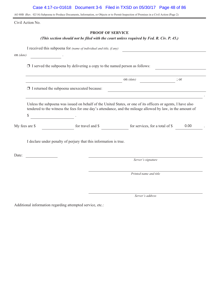# Case 4:17-cv-01618 Document 3-6 Filed in TXSD on 05/30/17 Page 48 of 86

AO 88B (Rev. 02/14) Subpoena to Produce Documents, Information, or Objects or to Permit Inspection of Premises in a Civil Action (Page 2)

Civil Action No.

# **PROOF OF SERVICE**

### *(This section should not be filed with the court unless required by Fed. R. Civ. P. 45.)*

I received this subpoena for *(name of individual and title, if any)*

on *(date)* .

□ I served the subpoena by delivering a copy to the named person as follows:

|                                                    | on <i>(date)</i> | : or |  |
|----------------------------------------------------|------------------|------|--|
| $\Box$ I returned the subpoena unexecuted because: |                  |      |  |

Unless the subpoena was issued on behalf of the United States, or one of its officers or agents, I have also tendered to the witness the fees for one day's attendance, and the mileage allowed by law, in the amount of

 $\frac{\text{S}}{\text{S}}$  .

| My fees are \$ | for travel and S | for services, for a total of \$ | 0.00 |  |
|----------------|------------------|---------------------------------|------|--|
|                |                  |                                 |      |  |

I declare under penalty of perjury that this information is true.

Date:

*Server's signature*

.

*Printed name and title*

*Server's address*

Additional information regarding attempted service, etc.: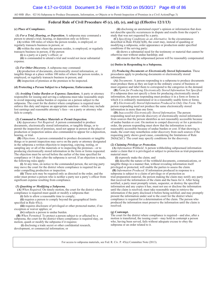AO 88B (Rev. 02/14) Subpoena to Produce Documents, Information, or Objects or to Permit Inspection of Premises in a Civil Action(Page 3)

### **Federal Rule of Civil Procedure 45 (c), (d), (e), and (g) (Effective 12/1/13)**

**(c) Place of Compliance.**

 **(1)** *For a Trial, Hearing, or Deposition.* A subpoena may command a person to attend a trial, hearing, or deposition only as follows:

 **(A)** within 100 miles of where the person resides, is employed, or regularly transacts business in person; or

 **(B)** within the state where the person resides, is employed, or regularly transacts business in person, if the person

 **(i)** is a party or a party's officer; or

 **(ii)** is commanded to attend a trial and would not incur substantial expense.

 **(2)** *For Other Discovery.* A subpoena may command:

 **(A)** production of documents, electronically stored information, or tangible things at a place within 100 miles of where the person resides, is employed, or regularly transacts business in person; and

 **(B)** inspection of premises at the premises to be inspected.

### **(d) Protecting a Person Subject to a Subpoena; Enforcement.**

 **(1)** *Avoiding Undue Burden or Expense; Sanctions.* A party or attorney responsible for issuing and serving a subpoena must take reasonable steps to avoid imposing undue burden or expense on a person subject to the subpoena. The court for the district where compliance is required must enforce this duty and impose an appropriate sanction—which may include lost earnings and reasonable attorney's fees—on a party or attorney who fails to comply.

### **(2)** *Command to Produce Materials or Permit Inspection.*

**(A)** *Appearance Not Required.* A person commanded to produce documents, electronically stored information, or tangible things, or to permit the inspection of premises, need not appear in person at the place of production or inspection unless also commanded to appear for a deposition, hearing, or trial.

**(B)** *Objections.* A person commanded to produce documents or tangible things or to permit inspection may serve on the party or attorney designated in the subpoena a written objection to inspecting, copying, testing, or sampling any or all of the materials or to inspecting the premises—or to producing electronically stored information in the form or forms requested. The objection must be served before the earlier of the time specified for compliance or 14 days after the subpoena is served. If an objection is made, the following rules apply:

**(i)** At any time, on notice to the commanded person, the serving party may move the court for the district where compliance is required for an order compelling production or inspection.

 **(ii)** These acts may be required only as directed in the order, and the order must protect a person who is neither a party nor a party's officer from significant expense resulting from compliance.

### **(3)** *Quashing or Modifying a Subpoena.*

**(A)** *When Required.* On timely motion, the court for the district where compliance is required must quash or modify a subpoena that:

 **(i)** fails to allow a reasonable time to comply;

**(ii)** requires a person to comply beyond the geographical limits specified in Rule  $45(c)$ ;

**(iii)** requires disclosure of privileged or other protected matter, if no exception or waiver applies; or

**(iv)** subjects a person to undue burden.

**(B)** *When Permitted.* To protect a person subject to or affected by a subpoena, the court for the district where compliance is required may, on motion, quash or modify the subpoena if it requires:

**(i)** disclosing a trade secret or other confidential research, development, or commercial information; or

**(ii)** disclosing an unretained expert's opinion or information that does not describe specific occurrences in dispute and results from the expert's study that was not requested by a party.

**(C)** *Specifying Conditions as an Alternative.* In the circumstances described in Rule 45(d)(3)(B), the court may, instead of quashing or modifying a subpoena, order appearance or production under specified conditions if the serving party:

**(i)** shows a substantial need for the testimony or material that cannot be otherwise met without undue hardship; and

**(ii)** ensures that the subpoenaed person will be reasonably compensated.

### **(e) Duties in Responding to a Subpoena.**

 **(1)** *Producing Documents or Electronically Stored Information.* These procedures apply to producing documents or electronically stored information:

**(A)** *Documents.* A person responding to a subpoena to produce documents must produce them as they are kept in the ordinary course of business or must organize and label them to correspond to the categories in the demand.

**(B)** *Form for Producing Electronically Stored Information Not Specified.* If a subpoena does not specify a form for producing electronically stored information, the person responding must produce it in a form or forms in which it is ordinarily maintained or in a reasonably usable form or forms.

**(C)** *Electronically Stored Information Produced in Only One Form.* The person responding need not produce the same electronically stored information in more than one form.

**(D)** *Inaccessible Electronically Stored Information.* The person responding need not provide discovery of electronically stored information from sources that the person identifies as not reasonably accessible because of undue burden or cost. On motion to compel discovery or for a protective order, the person responding must show that the information is not reasonably accessible because of undue burden or cost. If that showing is made, the court may nonetheless order discovery from such sources if the requesting party shows good cause, considering the limitations of Rule  $26(b)(2)(C)$ . The court may specify conditions for the discovery.

### **(2)** *Claiming Privilege or Protection.*

**(A)** *Information Withheld.* A person withholding subpoenaed information under a claim that it is privileged or subject to protection as trial-preparation material must:

**(i)** expressly make the claim; and

**(ii)** describe the nature of the withheld documents, communications, or tangible things in a manner that, without revealing information itself privileged or protected, will enable the parties to assess the claim.

**(B)** *Information Produced.* If information produced in response to a subpoena is subject to a claim of privilege or of protection as trial-preparation material, the person making the claim may notify any party that received the information of the claim and the basis for it. After being notified, a party must promptly return, sequester, or destroy the specified information and any copies it has; must not use or disclose the information until the claim is resolved; must take reasonable steps to retrieve the information if the party disclosed it before being notified; and may promptly present the information under seal to the court for the district where compliance is required for a determination of the claim. The person who produced the information must preserve the information until the claim is resolved.

### **(g) Contempt.**

The court for the district where compliance is required—and also, after a motion is transferred, the issuing court—may hold in contempt a person who, having been served, fails without adequate excuse to obey the subpoena or an order related to it.

For access to subpoena materials, see Fed. R. Civ. P. 45(a) Committee Note (2013).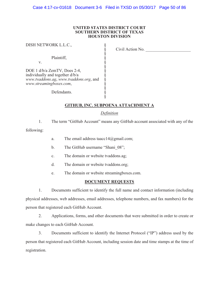# **UNITED STATES DISTRICT COURT SOUTHERN DISTRICT OF TEXAS HOUSTON DIVISION**

DISH NETWORK L.L.C.,<br>
§<br>
Plaintiff,<br>
v.<br>
DOE 1 d/b/a ZemTV, Does 2-4,<br>
individually and together d/b/a<br>
www.tvaddons.ag, www.tvaddons.org, and<br>
§<br>
www.streamingboxes.com,<br>
§<br>
Defendants.<br>
§<br>
§<br>
S § Plaintiff, v.  $\S$  § DOE 1 d/b/a ZemTV, Does 2-4, individually and together  $d/b/a$ *www.tvaddons.ag*, *www.tvaddons.org*, and § *www.streamingboxes.com*, § §

Defendants.

§

§ Civil Action No. \_\_\_\_\_\_\_\_\_\_\_\_\_\_\_\_\_\_\_\_\_

# **GITHUB, INC. SUBPOENA ATTACHMENT A**

# *Definition*

1. The term "GitHub Account" means any GitHub account associated with any of the

following:

- a. The email address taacc $14\omega$ gmail.com;
- b. The GitHub username "Shani 08";
- c. The domain or website tvaddons.ag;
- d. The domain or website tvaddons.org;
- e. The domain or website streamingboxes.com.

# **DOCUMENT REQUESTS**

 1. Documents sufficient to identify the full name and contact information (including physical addresses, web addresses, email addresses, telephone numbers, and fax numbers) for the person that registered each GitHub Account.

 2. Applications, forms, and other documents that were submitted in order to create or make changes to each GitHub Account.

 3. Documents sufficient to identify the Internet Protocol ("IP") address used by the person that registered each GitHub Account, including session date and time stamps at the time of registration.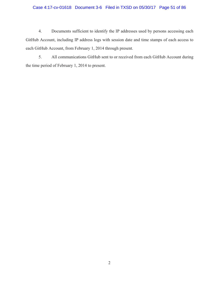# Case 4:17-cv-01618 Document 3-6 Filed in TXSD on 05/30/17 Page 51 of 86

 4. Documents sufficient to identify the IP addresses used by persons accessing each GitHub Account, including IP address logs with session date and time stamps of each access to each GitHub Account, from February 1, 2014 through present.

 5. All communications GitHub sent to or received from each GitHub Account during the time period of February 1, 2014 to present.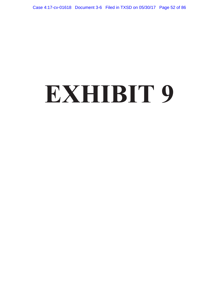# **EXHIBIT 9**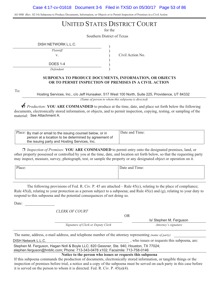Case 4:17-cv-01618 Document 3-6 Filed in TXSD on 05/30/17 Page 53 of 86

AO 88B (Rev. 02/14) Subpoena to Produce Documents, Information, or Objects or to Permit Inspection of Premises in a Civil Action

# UNITED STATES DISTRICT COURT

for the

) ) ) ) ) )

Southern District of Texas

DISH NETWORK L.L.C.

| Plaintiff       |  |
|-----------------|--|
| V.              |  |
| <b>DOES 1-4</b> |  |
|                 |  |

Civil Action No.

*Defendant*

# **SUBPOENA TO PRODUCE DOCUMENTS, INFORMATION, OR OBJECTS OR TO PERMIT INSPECTION OF PREMISES IN A CIVIL ACTION**

To:

Hosting Services, Inc., c/o Jeff Hunsaker, 517 West 100 North, Suite 225, Providence, UT 84332

*(Name of person to whom this subpoena is directed)*

★ *Production:* YOU ARE COMMANDED to produce at the time, date, and place set forth below the following documents, electronically stored information, or objects, and to permit inspection, copying, testing, or sampling of the material: See Attachment A.

| Place: By mail or email to the issuing counsel below, or in<br>person at a location to be determined by agreement of<br>the issuing party and Hosting Services, Inc. | Date and Time: |
|----------------------------------------------------------------------------------------------------------------------------------------------------------------------|----------------|
|----------------------------------------------------------------------------------------------------------------------------------------------------------------------|----------------|

- *Inspection of Premises:* **YOU ARE COMMANDED** to permit entry onto the designated premises, land, or other property possessed or controlled by you at the time, date, and location set forth below, so that the requesting party may inspect, measure, survey, photograph, test, or sample the property or any designated object or operation on it.

| Place: | Date and Time: |
|--------|----------------|
|        |                |
|        |                |

The following provisions of Fed. R. Civ. P. 45 are attached – Rule 45(c), relating to the place of compliance; Rule 45(d), relating to your protection as a person subject to a subpoena; and Rule 45(e) and (g), relating to your duty to respond to this subpoena and the potential consequences of not doing so.

Date:

DISH Network L.L.C.

*CLERK OF COURT*

OR

/s/ Stephen M. Ferguson

Signature of Clerk or Deputy Clerk Attorney's signature

The name, address, e-mail address, and telephone number of the attorney representing *(name of party)*

, who issues or requests this subpoena, are:

Stephen M. Ferguson, Hagan Noll & Boyle LLC; 820 Gessner, Ste. 940, Houston, TX 77024; stephen.ferguson@hnbllc.com; Phone: 713-343-0478 x102; Facsimile: 713-758-0146

**Notice to the person who issues or requests this subpoena**

If this subpoena commands the production of documents, electronically stored information, or tangible things or the inspection of premises before trial, a notice and a copy of the subpoena must be served on each party in this case before it is served on the person to whom it is directed. Fed. R. Civ. P. 45(a)(4).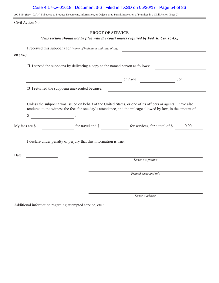# Case 4:17-cv-01618 Document 3-6 Filed in TXSD on 05/30/17 Page 54 of 86

AO 88B (Rev. 02/14) Subpoena to Produce Documents, Information, or Objects or to Permit Inspection of Premises in a Civil Action (Page 2)

Civil Action No.

# **PROOF OF SERVICE**

### *(This section should not be filed with the court unless required by Fed. R. Civ. P. 45.)*

I received this subpoena for *(name of individual and title, if any)*

on *(date)* .

□ I served the subpoena by delivering a copy to the named person as follows:

|                                                    | on <i>(date)</i> | : or |  |
|----------------------------------------------------|------------------|------|--|
| $\Box$ I returned the subpoena unexecuted because: |                  |      |  |

Unless the subpoena was issued on behalf of the United States, or one of its officers or agents, I have also tendered to the witness the fees for one day's attendance, and the mileage allowed by law, in the amount of

 $\frac{\text{S}}{\text{S}}$  .

| My fees are \$ | for travel and S | for services, for a total of \$ | 0.00 |  |
|----------------|------------------|---------------------------------|------|--|
|                |                  |                                 |      |  |

I declare under penalty of perjury that this information is true.

Date:

*Server's signature*

.

*Printed name and title*

*Server's address*

Additional information regarding attempted service, etc.: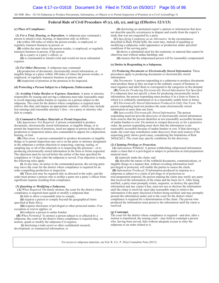AO 88B (Rev. 02/14) Subpoena to Produce Documents, Information, or Objects or to Permit Inspection of Premises in a Civil Action(Page 3)

### **Federal Rule of Civil Procedure 45 (c), (d), (e), and (g) (Effective 12/1/13)**

**(c) Place of Compliance.**

 **(1)** *For a Trial, Hearing, or Deposition.* A subpoena may command a person to attend a trial, hearing, or deposition only as follows:

 **(A)** within 100 miles of where the person resides, is employed, or regularly transacts business in person; or

 **(B)** within the state where the person resides, is employed, or regularly transacts business in person, if the person

 **(i)** is a party or a party's officer; or

 **(ii)** is commanded to attend a trial and would not incur substantial expense.

 **(2)** *For Other Discovery.* A subpoena may command:

 **(A)** production of documents, electronically stored information, or tangible things at a place within 100 miles of where the person resides, is employed, or regularly transacts business in person; and

 **(B)** inspection of premises at the premises to be inspected.

### **(d) Protecting a Person Subject to a Subpoena; Enforcement.**

 **(1)** *Avoiding Undue Burden or Expense; Sanctions.* A party or attorney responsible for issuing and serving a subpoena must take reasonable steps to avoid imposing undue burden or expense on a person subject to the subpoena. The court for the district where compliance is required must enforce this duty and impose an appropriate sanction—which may include lost earnings and reasonable attorney's fees—on a party or attorney who fails to comply.

### **(2)** *Command to Produce Materials or Permit Inspection.*

**(A)** *Appearance Not Required.* A person commanded to produce documents, electronically stored information, or tangible things, or to permit the inspection of premises, need not appear in person at the place of production or inspection unless also commanded to appear for a deposition, hearing, or trial.

**(B)** *Objections.* A person commanded to produce documents or tangible things or to permit inspection may serve on the party or attorney designated in the subpoena a written objection to inspecting, copying, testing, or sampling any or all of the materials or to inspecting the premises—or to producing electronically stored information in the form or forms requested. The objection must be served before the earlier of the time specified for compliance or 14 days after the subpoena is served. If an objection is made, the following rules apply:

**(i)** At any time, on notice to the commanded person, the serving party may move the court for the district where compliance is required for an order compelling production or inspection.

 **(ii)** These acts may be required only as directed in the order, and the order must protect a person who is neither a party nor a party's officer from significant expense resulting from compliance.

### **(3)** *Quashing or Modifying a Subpoena.*

**(A)** *When Required.* On timely motion, the court for the district where compliance is required must quash or modify a subpoena that:

 **(i)** fails to allow a reasonable time to comply;

**(ii)** requires a person to comply beyond the geographical limits specified in Rule  $45(c)$ ;

**(iii)** requires disclosure of privileged or other protected matter, if no exception or waiver applies; or

**(iv)** subjects a person to undue burden.

**(B)** *When Permitted.* To protect a person subject to or affected by a subpoena, the court for the district where compliance is required may, on motion, quash or modify the subpoena if it requires:

**(i)** disclosing a trade secret or other confidential research, development, or commercial information; or

**(ii)** disclosing an unretained expert's opinion or information that does not describe specific occurrences in dispute and results from the expert's study that was not requested by a party.

**(C)** *Specifying Conditions as an Alternative.* In the circumstances described in Rule 45(d)(3)(B), the court may, instead of quashing or modifying a subpoena, order appearance or production under specified conditions if the serving party:

**(i)** shows a substantial need for the testimony or material that cannot be otherwise met without undue hardship; and

**(ii)** ensures that the subpoenaed person will be reasonably compensated.

### **(e) Duties in Responding to a Subpoena.**

 **(1)** *Producing Documents or Electronically Stored Information.* These procedures apply to producing documents or electronically stored information:

**(A)** *Documents.* A person responding to a subpoena to produce documents must produce them as they are kept in the ordinary course of business or must organize and label them to correspond to the categories in the demand.

**(B)** *Form for Producing Electronically Stored Information Not Specified.* If a subpoena does not specify a form for producing electronically stored information, the person responding must produce it in a form or forms in which it is ordinarily maintained or in a reasonably usable form or forms.

**(C)** *Electronically Stored Information Produced in Only One Form.* The person responding need not produce the same electronically stored information in more than one form.

**(D)** *Inaccessible Electronically Stored Information.* The person responding need not provide discovery of electronically stored information from sources that the person identifies as not reasonably accessible because of undue burden or cost. On motion to compel discovery or for a protective order, the person responding must show that the information is not reasonably accessible because of undue burden or cost. If that showing is made, the court may nonetheless order discovery from such sources if the requesting party shows good cause, considering the limitations of Rule  $26(b)(2)(C)$ . The court may specify conditions for the discovery.

### **(2)** *Claiming Privilege or Protection.*

**(A)** *Information Withheld.* A person withholding subpoenaed information under a claim that it is privileged or subject to protection as trial-preparation material must:

**(i)** expressly make the claim; and

**(ii)** describe the nature of the withheld documents, communications, or tangible things in a manner that, without revealing information itself privileged or protected, will enable the parties to assess the claim.

**(B)** *Information Produced.* If information produced in response to a subpoena is subject to a claim of privilege or of protection as trial-preparation material, the person making the claim may notify any party that received the information of the claim and the basis for it. After being notified, a party must promptly return, sequester, or destroy the specified information and any copies it has; must not use or disclose the information until the claim is resolved; must take reasonable steps to retrieve the information if the party disclosed it before being notified; and may promptly present the information under seal to the court for the district where compliance is required for a determination of the claim. The person who produced the information must preserve the information until the claim is resolved.

### **(g) Contempt.**

The court for the district where compliance is required—and also, after a motion is transferred, the issuing court—may hold in contempt a person who, having been served, fails without adequate excuse to obey the subpoena or an order related to it.

For access to subpoena materials, see Fed. R. Civ. P. 45(a) Committee Note (2013).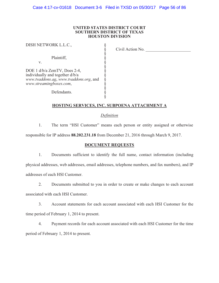# **UNITED STATES DISTRICT COURT SOUTHERN DISTRICT OF TEXAS HOUSTON DIVISION**

§ Civil Action No. \_\_\_\_\_\_\_\_\_\_\_\_\_\_\_\_\_\_\_\_\_

 § Plaintiff,

v.  $\S$ 

DISH NETWORK L.L.C.,<br>
§<br>
Plaintiff,<br>
v.<br>
DOE 1 d/b/a ZemTV, Does 2-4,<br>
individually and together d/b/a<br>
www.tvaddons.ag, www.tvaddons.org, and<br>
§<br>
www.streamingboxes.com,<br>
§<br>
Defendants.<br>
§<br>
§<br>
S § DOE 1 d/b/a ZemTV, Does 2-4, individually and together  $d/b/a$ *www.tvaddons.ag*, *www.tvaddons.org*, and § *www.streamingboxes.com*, § §

Defendants.

§

# **HOSTING SERVICES, INC. SUBPOENA ATTACHMENT A**

# *Definition*

 1. The term "HSI Customer" means each person or entity assigned or otherwise responsible for IP address **88.202.231.18** from December 21, 2016 through March 9, 2017.

# **DOCUMENT REQUESTS**

 1. Documents sufficient to identify the full name, contact information (including physical addresses, web addresses, email addresses, telephone numbers, and fax numbers), and IP addresses of each HSI Customer.

 2. Documents submitted to you in order to create or make changes to each account associated with each HSI Customer.

 3. Account statements for each account associated with each HSI Customer for the time period of February 1, 2014 to present.

 4. Payment records for each account associated with each HSI Customer for the time period of February 1, 2014 to present.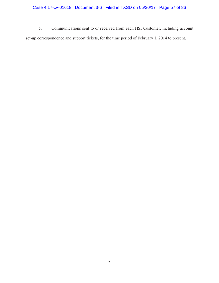# Case 4:17-cv-01618 Document 3-6 Filed in TXSD on 05/30/17 Page 57 of 86

 5. Communications sent to or received from each HSI Customer, including account set-up correspondence and support tickets, for the time period of February 1, 2014 to present.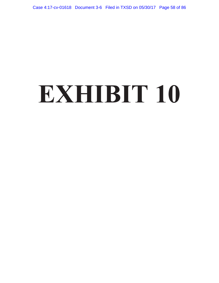# **EXHIBIT 10**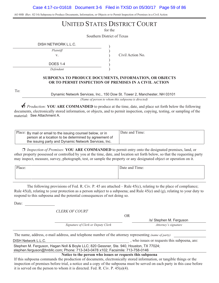Case 4:17-cv-01618 Document 3-6 Filed in TXSD on 05/30/17 Page 59 of 86

AO 88B (Rev. 02/14) Subpoena to Produce Documents, Information, or Objects or to Permit Inspection of Premises in a Civil Action

# UNITED STATES DISTRICT COURT

for the

) ) ) ) ) )

Southern District of Texas

| DISH NETWORK L.L.C. |  |
|---------------------|--|
| Plaintiff           |  |
| V.                  |  |
| <b>DOES 1-4</b>     |  |

Civil Action No.

# *Defendant*

### **SUBPOENA TO PRODUCE DOCUMENTS, INFORMATION, OR OBJECTS OR TO PERMIT INSPECTION OF PREMISES IN A CIVIL ACTION**

To:

Dynamic Network Services, Inc., 150 Dow St. Tower 2, Manchester, NH 03101

*(Name of person to whom this subpoena is directed)*

★ *Production:* YOU ARE COMMANDED to produce at the time, date, and place set forth below the following documents, electronically stored information, or objects, and to permit inspection, copying, testing, or sampling of the material: See Attachment A.

- *Inspection of Premises:* **YOU ARE COMMANDED** to permit entry onto the designated premises, land, or other property possessed or controlled by you at the time, date, and location set forth below, so that the requesting party may inspect, measure, survey, photograph, test, or sample the property or any designated object or operation on it.

| Place: | Date and Time: |
|--------|----------------|
|        |                |
|        |                |

The following provisions of Fed. R. Civ. P. 45 are attached – Rule 45(c), relating to the place of compliance; Rule 45(d), relating to your protection as a person subject to a subpoena; and Rule 45(e) and (g), relating to your duty to respond to this subpoena and the potential consequences of not doing so.

Date:

DISH Network L.L.C.

*CLERK OF COURT*

OR

Signature of Clerk or Deputy Clerk Attorney's signature

/s/ Stephen M. Ferguson

The name, address, e-mail address, and telephone number of the attorney representing *(name of party)*

, who issues or requests this subpoena, are:

Stephen M. Ferguson, Hagan Noll & Boyle LLC; 820 Gessner, Ste. 940, Houston, TX 77024; stephen.ferguson@hnbllc.com; Phone: 713-343-0478 x102; Facsimile: 713-758-0146

**Notice to the person who issues or requests this subpoena**

If this subpoena commands the production of documents, electronically stored information, or tangible things or the inspection of premises before trial, a notice and a copy of the subpoena must be served on each party in this case before it is served on the person to whom it is directed. Fed. R. Civ. P. 45(a)(4).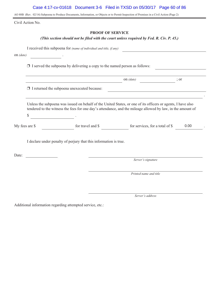# Case 4:17-cv-01618 Document 3-6 Filed in TXSD on 05/30/17 Page 60 of 86

AO 88B (Rev. 02/14) Subpoena to Produce Documents, Information, or Objects or to Permit Inspection of Premises in a Civil Action (Page 2)

Civil Action No.

# **PROOF OF SERVICE**

### *(This section should not be filed with the court unless required by Fed. R. Civ. P. 45.)*

I received this subpoena for *(name of individual and title, if any)*

on *(date)* .

□ I served the subpoena by delivering a copy to the named person as follows:

|                                                    | on <i>(date)</i> | : or |  |
|----------------------------------------------------|------------------|------|--|
| $\Box$ I returned the subpoena unexecuted because: |                  |      |  |

Unless the subpoena was issued on behalf of the United States, or one of its officers or agents, I have also tendered to the witness the fees for one day's attendance, and the mileage allowed by law, in the amount of

 $\frac{\text{S}}{\text{S}}$  .

| My fees are \$ | for travel and S | for services, for a total of \$ | 0.00 |  |
|----------------|------------------|---------------------------------|------|--|
|                |                  |                                 |      |  |

I declare under penalty of perjury that this information is true.

Date:

*Server's signature*

.

*Printed name and title*

*Server's address*

Additional information regarding attempted service, etc.: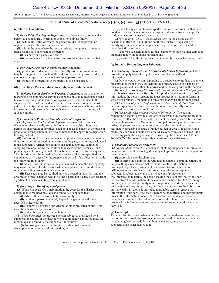AO 88B (Rev. 02/14) Subpoena to Produce Documents, Information, or Objects or to Permit Inspection of Premises in a Civil Action(Page 3)

### **Federal Rule of Civil Procedure 45 (c), (d), (e), and (g) (Effective 12/1/13)**

**(c) Place of Compliance.**

 **(1)** *For a Trial, Hearing, or Deposition.* A subpoena may command a person to attend a trial, hearing, or deposition only as follows:

 **(A)** within 100 miles of where the person resides, is employed, or regularly transacts business in person; or

 **(B)** within the state where the person resides, is employed, or regularly transacts business in person, if the person

 **(i)** is a party or a party's officer; or

 **(ii)** is commanded to attend a trial and would not incur substantial expense.

 **(2)** *For Other Discovery.* A subpoena may command:

 **(A)** production of documents, electronically stored information, or tangible things at a place within 100 miles of where the person resides, is employed, or regularly transacts business in person; and

 **(B)** inspection of premises at the premises to be inspected.

### **(d) Protecting a Person Subject to a Subpoena; Enforcement.**

 **(1)** *Avoiding Undue Burden or Expense; Sanctions.* A party or attorney responsible for issuing and serving a subpoena must take reasonable steps to avoid imposing undue burden or expense on a person subject to the subpoena. The court for the district where compliance is required must enforce this duty and impose an appropriate sanction—which may include lost earnings and reasonable attorney's fees—on a party or attorney who fails to comply.

### **(2)** *Command to Produce Materials or Permit Inspection.*

**(A)** *Appearance Not Required.* A person commanded to produce documents, electronically stored information, or tangible things, or to permit the inspection of premises, need not appear in person at the place of production or inspection unless also commanded to appear for a deposition, hearing, or trial.

**(B)** *Objections.* A person commanded to produce documents or tangible things or to permit inspection may serve on the party or attorney designated in the subpoena a written objection to inspecting, copying, testing, or sampling any or all of the materials or to inspecting the premises—or to producing electronically stored information in the form or forms requested. The objection must be served before the earlier of the time specified for compliance or 14 days after the subpoena is served. If an objection is made, the following rules apply:

**(i)** At any time, on notice to the commanded person, the serving party may move the court for the district where compliance is required for an order compelling production or inspection.

 **(ii)** These acts may be required only as directed in the order, and the order must protect a person who is neither a party nor a party's officer from significant expense resulting from compliance.

### **(3)** *Quashing or Modifying a Subpoena.*

**(A)** *When Required.* On timely motion, the court for the district where compliance is required must quash or modify a subpoena that:

 **(i)** fails to allow a reasonable time to comply;

**(ii)** requires a person to comply beyond the geographical limits specified in Rule  $45(c)$ ;

**(iii)** requires disclosure of privileged or other protected matter, if no exception or waiver applies; or

**(iv)** subjects a person to undue burden.

**(B)** *When Permitted.* To protect a person subject to or affected by a subpoena, the court for the district where compliance is required may, on motion, quash or modify the subpoena if it requires:

**(i)** disclosing a trade secret or other confidential research, development, or commercial information; or

**(ii)** disclosing an unretained expert's opinion or information that does not describe specific occurrences in dispute and results from the expert's study that was not requested by a party.

**(C)** *Specifying Conditions as an Alternative.* In the circumstances described in Rule 45(d)(3)(B), the court may, instead of quashing or modifying a subpoena, order appearance or production under specified conditions if the serving party:

**(i)** shows a substantial need for the testimony or material that cannot be otherwise met without undue hardship; and

**(ii)** ensures that the subpoenaed person will be reasonably compensated.

### **(e) Duties in Responding to a Subpoena.**

 **(1)** *Producing Documents or Electronically Stored Information.* These procedures apply to producing documents or electronically stored information:

**(A)** *Documents.* A person responding to a subpoena to produce documents must produce them as they are kept in the ordinary course of business or must organize and label them to correspond to the categories in the demand.

**(B)** *Form for Producing Electronically Stored Information Not Specified.* If a subpoena does not specify a form for producing electronically stored information, the person responding must produce it in a form or forms in which it is ordinarily maintained or in a reasonably usable form or forms.

**(C)** *Electronically Stored Information Produced in Only One Form.* The person responding need not produce the same electronically stored information in more than one form.

**(D)** *Inaccessible Electronically Stored Information.* The person responding need not provide discovery of electronically stored information from sources that the person identifies as not reasonably accessible because of undue burden or cost. On motion to compel discovery or for a protective order, the person responding must show that the information is not reasonably accessible because of undue burden or cost. If that showing is made, the court may nonetheless order discovery from such sources if the requesting party shows good cause, considering the limitations of Rule  $26(b)(2)(C)$ . The court may specify conditions for the discovery.

### **(2)** *Claiming Privilege or Protection.*

**(A)** *Information Withheld.* A person withholding subpoenaed information under a claim that it is privileged or subject to protection as trial-preparation material must:

**(i)** expressly make the claim; and

**(ii)** describe the nature of the withheld documents, communications, or tangible things in a manner that, without revealing information itself privileged or protected, will enable the parties to assess the claim.

**(B)** *Information Produced.* If information produced in response to a subpoena is subject to a claim of privilege or of protection as trial-preparation material, the person making the claim may notify any party that received the information of the claim and the basis for it. After being notified, a party must promptly return, sequester, or destroy the specified information and any copies it has; must not use or disclose the information until the claim is resolved; must take reasonable steps to retrieve the information if the party disclosed it before being notified; and may promptly present the information under seal to the court for the district where compliance is required for a determination of the claim. The person who produced the information must preserve the information until the claim is resolved.

### **(g) Contempt.**

The court for the district where compliance is required—and also, after a motion is transferred, the issuing court—may hold in contempt a person who, having been served, fails without adequate excuse to obey the subpoena or an order related to it.

For access to subpoena materials, see Fed. R. Civ. P. 45(a) Committee Note (2013).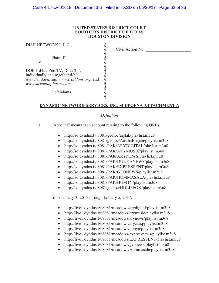# **UNITED STATES DISTRICT COURT SOUTHERN DISTRICT OF TEXAS HOUSTON DIVISION**

| DISH NETWORK L.L.C.,                                                      |  |
|---------------------------------------------------------------------------|--|
|                                                                           |  |
| Plaintiff,<br>V.                                                          |  |
| DOE 1 d/b/a ZemTV, Does 2-4,                                              |  |
| individually and together d/b/a<br>www.tvaddons.ag, www.tvaddons.org, and |  |
| www.streamingboxes.com,                                                   |  |

Defendants.

§

§ Civil Action No. \_\_\_\_\_\_\_\_\_\_\_\_\_\_\_\_\_\_\_\_\_

# **DYNAMIC NETWORK SERVICES, INC. SUBPOENA ATTACHMENT A**

# *Definition*

- 1. "Account" means each account relating to the following URLs:
	- $\bullet$ http://so.dyndns.tv:8081/geoloc/aajtak/playlist.m3u8
	- $\bullet$ http://so.dyndns.tv:8081/geoloc/AasthaBhajan/playlist.m3u8
	- $\bullet$ http://so.dyndns.tv:8081/PAK/ARYDIGITAL/playlist.m3u8
	- $\bullet$ http://so.dyndns.tv:8081/PAK/ARYMUSIC/playlist.m3u8
	- $\bullet$ http://so.dyndns.tv:8081/PAK/ARYNEWS/playlist.m3u8
	- $\bullet$ http://so.dyndns.tv:8081/PAK/DUNYANEWS/playlist.m3u8
	- $\bullet$ http://so.dyndns.tv:8081/PAK/EXPRESSENT/playlist.m3u8
	- $\bullet$ http://so.dyndns.tv:8081/PAK/GEONEWS/playlist.m3u8
	- $\bullet$ http://so.dyndns.tv:8081/PAK/HUMMASALA/playlist.m3u8
	- $\bullet$ http://so.dyndns.tv:8081/PAK/HUMTV/playlist.m3u8
	- $\bullet$ http://so.dyndns.tv:8081/geoloc/HDLIFEOK/playlist.m3u8

from January 3, 2017 through January 5, 2017;

- $\bullet$ http://live1.dyndns.tv:8081/meadows/arydigital/playlist.m3u8
- $\bullet$ http://live1.dyndns.tv:8081/meadows/arymusic/playlist.m3u8
- $\bullet$ http://live1.dyndns.tv:8081/meadows/arynews/playlist.m3u8
- $\bullet$ http://live1.dyndns.tv:8081/meadows/aryzauq/playlist.m3u8
- $\bullet$ http://live1.dyndns.tv:8081/meadows/dunya/playlist.m3u8
- $\bullet$ http://live1.dyndns.tv:8081/meadows/expressnews/playlist.m3u8
- $\bullet$ http://live1.dyndns.tv:8081/meadows/EXPRESSENT/playlist.m3u8
- $\bullet$ http://live1.dyndns.tv:8081/meadows/geonews/playlist.m3u8
- http://live1.dyndns.tv:8081/meadows/Hummasala/playlist.m3u8